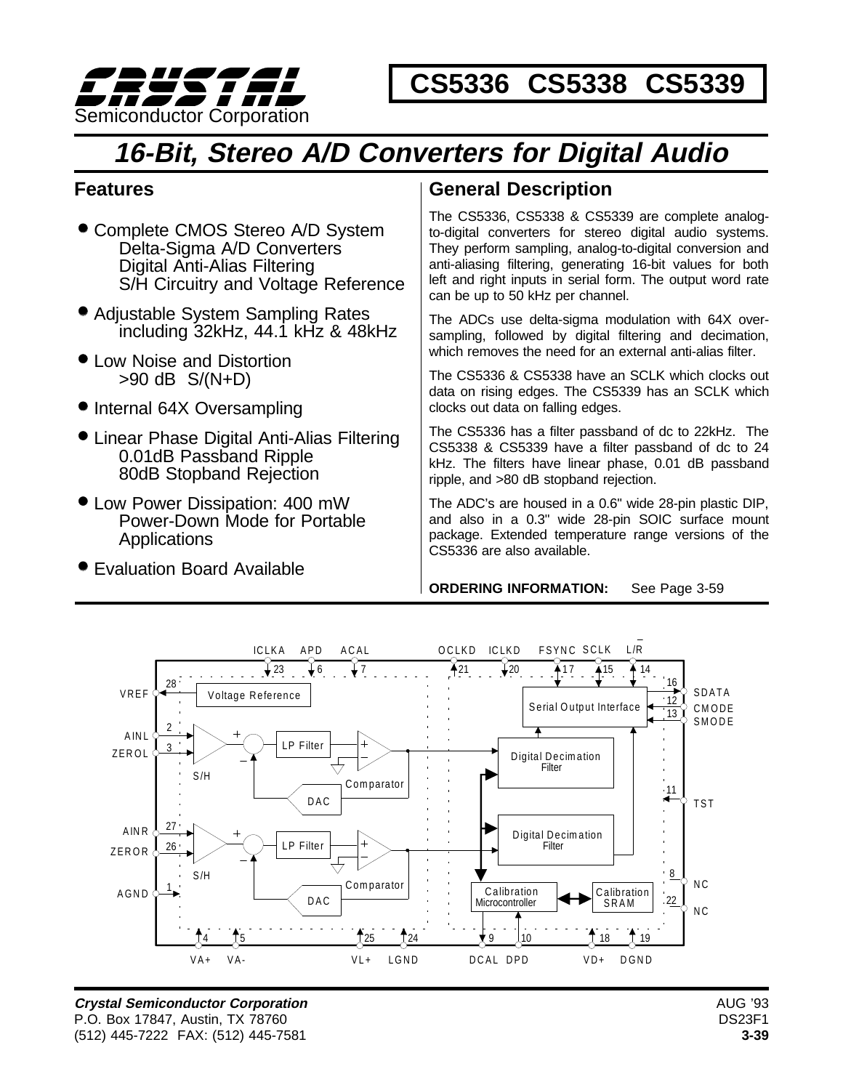

 **CS5336 CS5338 CS5339** 

# **16-Bit, Stereo A/D Converters for Digital Audio**

# **Features**

- **Complete CMOS Stereo A/D System** Delta-Sigma A/D Converters Digital Anti-Alias Filtering S/H Circuitry and Voltage Reference
- Adjustable System Sampling Rates including 32kHz, 44.1 kHz & 48kHz
- **Low Noise and Distortion** >90 dB S/(N+D)
- Internal 64X Oversampling
- Linear Phase Digital Anti-Alias Filtering 0.01dB Passband Ripple 80dB Stopband Rejection
- Low Power Dissipation: 400 mW Power-Down Mode for Portable Applications
- Evaluation Board Available

# **General Description**

The CS5336, CS5338 & CS5339 are complete analogto-digital converters for stereo digital audio systems. They perform sampling, analog-to-digital conversion and anti-aliasing filtering, generating 16-bit values for both left and right inputs in serial form. The output word rate can be up to 50 kHz per channel.

The ADCs use delta-sigma modulation with 64X oversampling, followed by digital filtering and decimation, which removes the need for an external anti-alias filter.

The CS5336 & CS5338 have an SCLK which clocks out data on rising edges. The CS5339 has an SCLK which clocks out data on falling edges.

The CS5336 has a filter passband of dc to 22kHz. The CS5338 & CS5339 have a filter passband of dc to 24 kHz. The filters have linear phase, 0.01 dB passband ripple, and >80 dB stopband rejection.

The ADC's are housed in a 0.6" wide 28-pin plastic DIP, and also in a 0.3" wide 28-pin SOIC surface mount package. Extended temperature range versions of the CS5336 are also available.

**ORDERING INFORMATION:** See Page 3-59



**Crystal Semiconductor Corporation** P.O. Box 17847, Austin, TX 78760 (512) 445-7222 FAX: (512) 445-7581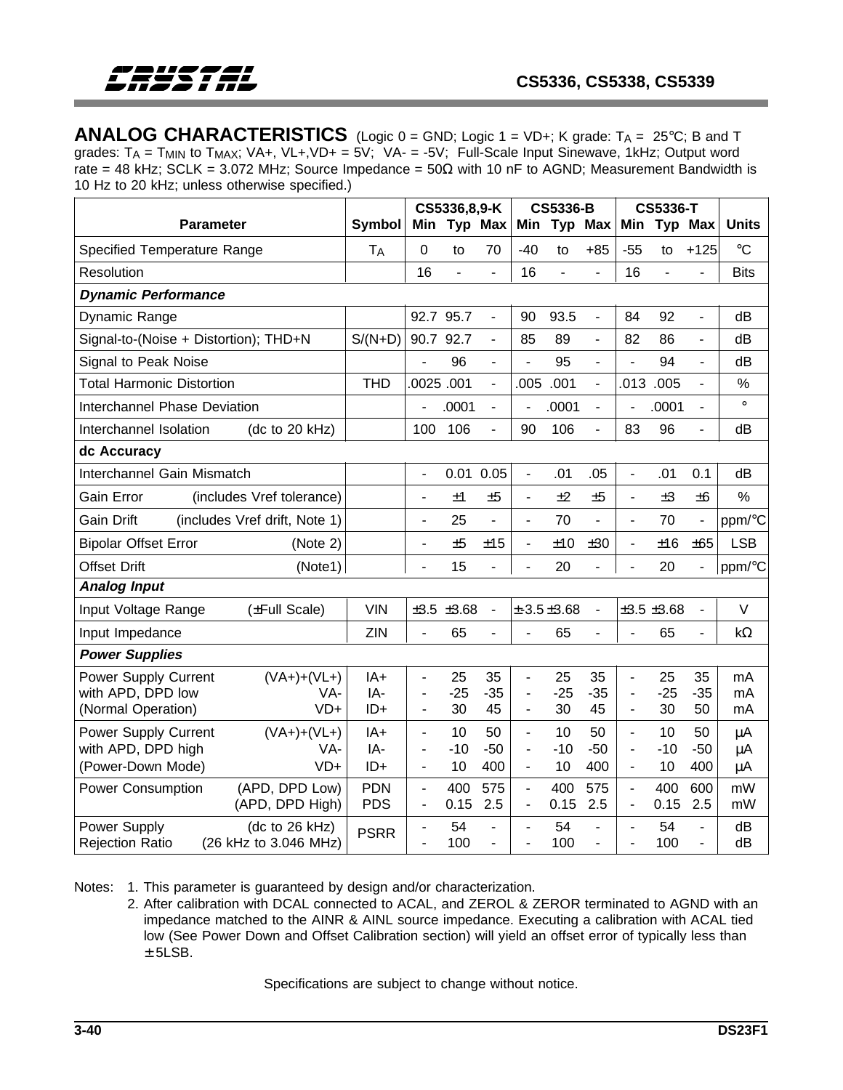**ANALOG CHARACTERISTICS** (Logic  $0 =$  GND; Logic  $1 =$  VD+; K grade:  $T_A = 25^\circ$ C; B and T grades:  $T_A = T_{MIN}$  to  $T_{MAX}$ ;  $VA +$ ,  $VL +$ ,  $VD + = 5V$ ;  $VA - = -5V$ ; Full-Scale Input Sinewave, 1kHz; Output word rate = 48 kHz; SCLK = 3.072 MHz; Source Impedance =  $50\Omega$  with 10 nF to AGND; Measurement Bandwidth is 10 Hz to 20 kHz; unless otherwise specified.)

| Symbol<br>Min Typ Max<br>Typ Max<br>Typ Max<br><b>Units</b><br>Min<br>Min<br>$\rm ^{\circ}C$<br>0<br>$-40$<br>$+85$<br>$-55$<br>$+125$<br><b>TA</b><br>70<br>to<br>to<br>to                                                                                                                                                                                                                                                                                                                                                                                             |
|-------------------------------------------------------------------------------------------------------------------------------------------------------------------------------------------------------------------------------------------------------------------------------------------------------------------------------------------------------------------------------------------------------------------------------------------------------------------------------------------------------------------------------------------------------------------------|
|                                                                                                                                                                                                                                                                                                                                                                                                                                                                                                                                                                         |
|                                                                                                                                                                                                                                                                                                                                                                                                                                                                                                                                                                         |
| 16<br>16<br>16<br>$\overline{a}$<br>$\overline{a}$<br>$\overline{a}$<br>$\overline{a}$<br><b>Bits</b><br>ä,<br>$\overline{a}$                                                                                                                                                                                                                                                                                                                                                                                                                                           |
|                                                                                                                                                                                                                                                                                                                                                                                                                                                                                                                                                                         |
| 92.7 95.7<br>93.5<br>92<br>90<br>84<br>dB<br>$\blacksquare$<br>$\overline{a}$<br>$\overline{a}$                                                                                                                                                                                                                                                                                                                                                                                                                                                                         |
| 90.7 92.7<br>Signal-to-(Noise + Distortion); THD+N<br>$S/(N+D)$<br>85<br>89<br>82<br>86<br>dB<br>$\blacksquare$<br>$\blacksquare$<br>$\overline{\phantom{0}}$                                                                                                                                                                                                                                                                                                                                                                                                           |
| 96<br>95<br>94<br>dB<br>÷,<br>$\overline{a}$<br>$\overline{a}$<br>÷,                                                                                                                                                                                                                                                                                                                                                                                                                                                                                                    |
| .0025.001<br>.001<br>.013<br><b>THD</b><br>.005<br>.005<br>%<br>$\overline{\phantom{a}}$<br>$\overline{a}$<br>$\blacksquare$                                                                                                                                                                                                                                                                                                                                                                                                                                            |
| $\circ$<br>.0001<br>.0001<br>.0001<br>$\blacksquare$<br>$\overline{\phantom{a}}$<br>$\qquad \qquad \blacksquare$<br>÷,<br>$\overline{a}$                                                                                                                                                                                                                                                                                                                                                                                                                                |
| 106<br>100<br>90<br>106<br>83<br>96<br>(dc to 20 kHz)<br>dB<br>$\blacksquare$<br>$\overline{\phantom{a}}$<br>$\overline{a}$                                                                                                                                                                                                                                                                                                                                                                                                                                             |
|                                                                                                                                                                                                                                                                                                                                                                                                                                                                                                                                                                         |
| 0.01<br>0.05<br>.01<br>.05<br>.01<br>0.1<br>dB<br>$\overline{a}$<br>ä,<br>$\overline{\phantom{0}}$                                                                                                                                                                                                                                                                                                                                                                                                                                                                      |
| (includes Vref tolerance)<br>±1<br>±5<br>±2<br>±5<br>±3<br>±6<br>%<br>$\qquad \qquad \blacksquare$<br>$\blacksquare$                                                                                                                                                                                                                                                                                                                                                                                                                                                    |
| (includes Vref drift, Note 1)<br>25<br>70<br>70<br>ppm/°C<br>L.<br>$\overline{a}$<br>$\overline{a}$                                                                                                                                                                                                                                                                                                                                                                                                                                                                     |
| <b>LSB</b><br>±5<br>±15<br>±10<br>±30<br>±16<br>±65<br>(Note 2)<br>$\blacksquare$<br>$\blacksquare$<br>$\overline{\phantom{a}}$                                                                                                                                                                                                                                                                                                                                                                                                                                         |
| 15<br>20<br>20<br>ppm/°C<br>(Note1)<br>$\overline{a}$                                                                                                                                                                                                                                                                                                                                                                                                                                                                                                                   |
|                                                                                                                                                                                                                                                                                                                                                                                                                                                                                                                                                                         |
| <b>VIN</b><br>$\vee$<br>±3.5 ±3.68<br>$±-3.5±3.68$<br>±3.5 ±3.68<br>(±Full Scale)<br>$\overline{a}$<br>$\overline{\phantom{0}}$<br>$\overline{a}$                                                                                                                                                                                                                                                                                                                                                                                                                       |
| ZIN<br>65<br>65<br>65<br>$k\Omega$<br>ä,<br>$\overline{a}$<br>$\overline{\phantom{0}}$<br>$\overline{a}$<br>L,                                                                                                                                                                                                                                                                                                                                                                                                                                                          |
|                                                                                                                                                                                                                                                                                                                                                                                                                                                                                                                                                                         |
| 35<br>35<br>25<br>35<br>$IA+$<br>25<br>25<br>$(VA+)+(VL+)$<br>mA<br>$\frac{1}{2}$<br>$\blacksquare$<br>$\overline{\phantom{a}}$                                                                                                                                                                                                                                                                                                                                                                                                                                         |
| mA<br>$\blacksquare$<br>$\overline{\phantom{a}}$<br>$\blacksquare$                                                                                                                                                                                                                                                                                                                                                                                                                                                                                                      |
|                                                                                                                                                                                                                                                                                                                                                                                                                                                                                                                                                                         |
| $\overline{a}$<br>$\blacksquare$<br>$\blacksquare$                                                                                                                                                                                                                                                                                                                                                                                                                                                                                                                      |
| $VD+$<br>$ID+$<br>10<br>400<br>10<br>400<br>10<br>400<br>$\mu$ A<br>$\overline{\phantom{0}}$                                                                                                                                                                                                                                                                                                                                                                                                                                                                            |
| <b>PDN</b><br>575<br>400<br>575<br>400<br>600<br>mW<br>(APD, DPD Low)<br>400<br>$\overline{\phantom{a}}$<br>$\overline{\phantom{a}}$<br>$\blacksquare$                                                                                                                                                                                                                                                                                                                                                                                                                  |
| <b>PDS</b><br>2.5<br>0.15<br>2.5<br>0.15<br>2.5<br>(APD, DPD High)<br>0.15<br>mW<br>$\overline{\phantom{a}}$<br>$\qquad \qquad \blacksquare$                                                                                                                                                                                                                                                                                                                                                                                                                            |
| 54<br>54<br>54<br>(dc to 26 kHz)<br>dB<br>÷,<br>$\overline{a}$<br>÷.<br>$\overline{a}$<br><b>PSRR</b>                                                                                                                                                                                                                                                                                                                                                                                                                                                                   |
| $-35$<br>$-35$<br>$-35$<br>VA-<br>IA-<br>$-25$<br>$-25$<br>$-25$<br>$VD+$<br>$ID+$<br>30<br>45<br>30<br>45<br>30<br>50<br>mA<br>$\qquad \qquad \blacksquare$<br>$\blacksquare$<br>$\overline{\phantom{a}}$<br>10<br>$(VA+)+(VL+)$<br>$IA+$<br>10<br>50<br>10<br>50<br>50<br>μA<br>$\overline{\phantom{0}}$<br>÷.<br>$\blacksquare$<br>$-10$<br>$-50$<br>VA-<br>IA-<br>$-10$<br>$-50$<br>$-10$<br>$-50$<br>$\mu$ A<br>100<br>100<br>100<br>(26 kHz to 3.046 MHz)<br>dB<br>$\overline{a}$<br>$\overline{a}$<br>$\overline{\phantom{0}}$<br>$\overline{\phantom{0}}$<br>ä, |

Notes: 1. This parameter is guaranteed by design and/or characterization.

2. After calibration with DCAL connected to ACAL, and ZEROL & ZEROR terminated to AGND with an impedance matched to the AINR & AINL source impedance. Executing a calibration with ACAL tied low (See Power Down and Offset Calibration section) will yield an offset error of typically less than  $±$  5LSB.

Specifications are subject to change without notice.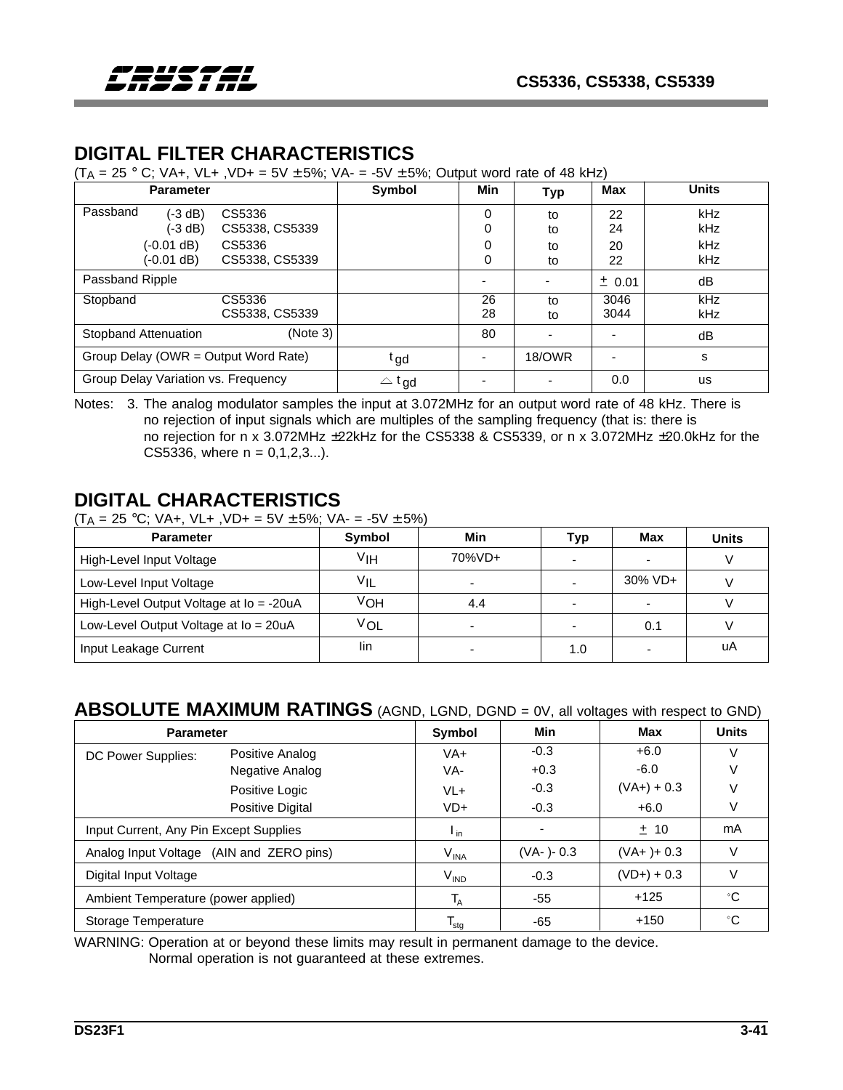# **DIGITAL FILTER CHARACTERISTICS**

 $(T_A = 25$  ° C; VA+, VL+, VD+ = 5V ± 5%; VA- = -5V ± 5%; Output word rate of 48 kHz)

| <b>Parameter</b>                     |                | Symbol           | <b>Min</b> | <b>Typ</b>    | Max      | <b>Units</b> |
|--------------------------------------|----------------|------------------|------------|---------------|----------|--------------|
| Passband<br>(-3 dB)                  | CS5336         |                  | 0          | to            | 22       | kHz          |
| (-3 dB)                              | CS5338, CS5339 |                  | 0          | to            | 24       | kHz          |
| $(-0.01 dB)$                         | CS5336         |                  | 0          | to            | 20       | kHz          |
| (-0.01 dB)                           | CS5338, CS5339 |                  | 0          | to            | 22       | <b>kHz</b>   |
| Passband Ripple                      |                |                  |            |               | $±$ 0.01 | dB           |
| Stopband                             | CS5336         |                  | 26         | to            | 3046     | kHz          |
|                                      | CS5338, CS5339 |                  | 28         | to            | 3044     | kHz          |
| <b>Stopband Attenuation</b>          | (Note 3)       |                  | 80         |               |          | dB           |
| Group Delay (OWR = Output Word Rate) |                | t gd             |            | <b>18/OWR</b> |          | s            |
| Group Delay Variation vs. Frequency  |                | $\triangle$ t gd |            |               | 0.0      | us           |

Notes: 3. The analog modulator samples the input at 3.072MHz for an output word rate of 48 kHz. There is no rejection of input signals which are multiples of the sampling frequency (that is: there is no rejection for n x 3.072MHz ±22kHz for the CS5338 & CS5339, or n x 3.072MHz ±20.0kHz for the CS5336, where  $n = 0,1,2,3...$ .

### **DIGITAL CHARACTERISTICS**

 $(T_A = 25 °C; VA+, VL+, VD+ = 5V ± 5%; VA = -5V ± 5%)$ 

| <b>Parameter</b>                        | Symbol | Min    | Typ | Max        | <b>Units</b> |
|-----------------------------------------|--------|--------|-----|------------|--------------|
| High-Level Input Voltage                | VIH    | 70%VD+ |     |            |              |
| Low-Level Input Voltage                 | ٧ıl    |        |     | $30\%$ VD+ |              |
| High-Level Output Voltage at lo = -20uA | ∨он    | 4.4    |     |            |              |
| Low-Level Output Voltage at Io = 20uA   | ∨o∟    |        |     | 0.1        |              |
| Input Leakage Current                   | lin    |        | 1.0 |            | uA           |

## **ABSOLUTE MAXIMUM RATINGS** (AGND, LGND, DGND = 0V, all voltages with respect to GND)

| <b>Parameter</b>                         |                  | Symbol                     | Min                      | Max           | <b>Units</b> |
|------------------------------------------|------------------|----------------------------|--------------------------|---------------|--------------|
| DC Power Supplies:                       | Positive Analog  | $VA+$                      | $-0.3$                   | $+6.0$        | V            |
|                                          | Negative Analog  | VA-                        | $+0.3$                   | $-6.0$        |              |
|                                          | Positive Logic   | $VL+$                      | $-0.3$                   | $(VA+) + 0.3$ |              |
|                                          | Positive Digital | $VD+$                      | $-0.3$                   | $+6.0$        |              |
| Input Current, Any Pin Except Supplies   |                  | $\mathsf{I}_{\mathsf{in}}$ | $\overline{\phantom{a}}$ | ± 10          | mA           |
| Analog Input Voltage (AIN and ZERO pins) |                  | $V_{INA}$                  | (VA-)-0.3                | $(VA+)+0.3$   | V            |
| Digital Input Voltage                    |                  | $V_{\text{IND}}$           | $-0.3$                   | $(VD+) + 0.3$ | V            |
| Ambient Temperature (power applied)      |                  | $T_{\rm A}$                | -55                      | $+125$        | °C           |
| Storage Temperature                      |                  | $T_{\text{stg}}$           | -65                      | $+150$        | °C           |

WARNING: Operation at or beyond these limits may result in permanent damage to the device. Normal operation is not guaranteed at these extremes.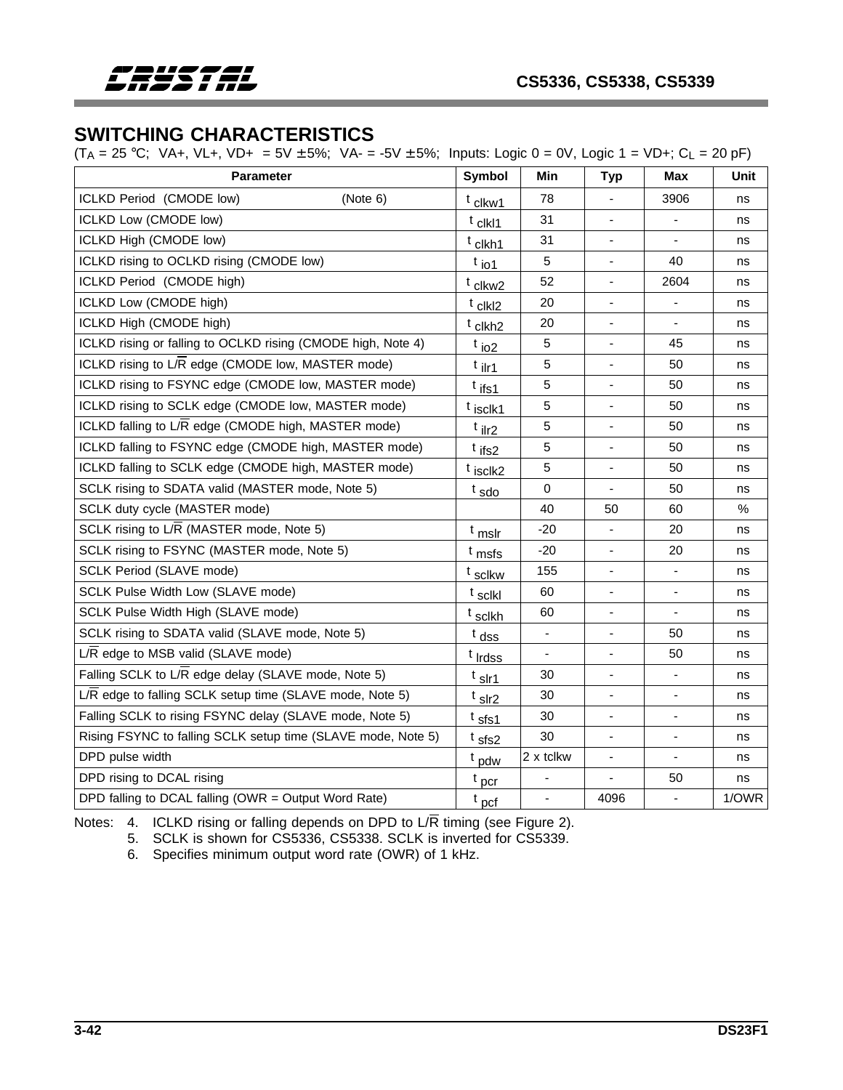

## **SWITCHING CHARACTERISTICS**

 $(T_A = 25 °C; VA+, VL+, VD+ = 5V ± 5%; VA- = -5V ± 5%; Inputs: Logic 0 = 0V, Logic 1 = VD+; C<sub>L</sub> = 20 pF)$ 

| <b>Parameter</b>                                             | <b>Symbol</b>       | Min         | <b>Typ</b>                   | <b>Max</b>               | Unit  |
|--------------------------------------------------------------|---------------------|-------------|------------------------------|--------------------------|-------|
| ICLKD Period (CMODE low)<br>(Note 6)                         | t clkw1             | 78          |                              | 3906                     | ns    |
| ICLKD Low (CMODE low)                                        | t clkl1             | 31          | $\overline{\phantom{a}}$     | $\blacksquare$           | ns    |
| ICLKD High (CMODE low)                                       | t clkh1             | 31          |                              |                          | ns    |
| ICLKD rising to OCLKD rising (CMODE low)                     | $t_{\text{io1}}$    | $\sqrt{5}$  | $\overline{\phantom{a}}$     | 40                       | ns    |
| ICLKD Period (CMODE high)                                    | t clkw2             | 52          |                              | 2604                     | ns    |
| ICLKD Low (CMODE high)                                       | t clkl2             | 20          |                              |                          | ns    |
| ICLKD High (CMODE high)                                      | t clkh <sub>2</sub> | 20          | $\overline{\phantom{a}}$     | $\blacksquare$           | ns    |
| ICLKD rising or falling to OCLKD rising (CMODE high, Note 4) | $t_{102}$           | 5           |                              | 45                       | ns    |
| ICLKD rising to L/R edge (CMODE low, MASTER mode)            | <sup>t</sup> ilr1   | $\sqrt{5}$  | $\overline{\phantom{a}}$     | 50                       | ns    |
| ICLKD rising to FSYNC edge (CMODE low, MASTER mode)          | <sup>t</sup> ifs1   | 5           |                              | 50                       | ns    |
| ICLKD rising to SCLK edge (CMODE low, MASTER mode)           | t isclk1            | $\sqrt{5}$  |                              | 50                       | ns    |
| ICLKD falling to L/R edge (CMODE high, MASTER mode)          | t <sub>ilr2</sub>   | 5           | $\overline{\phantom{a}}$     | 50                       | ns    |
| ICLKD falling to FSYNC edge (CMODE high, MASTER mode)        | $t$ ifs2            | 5           |                              | 50                       | ns    |
| ICLKD falling to SCLK edge (CMODE high, MASTER mode)         | t isclk2            | 5           | $\overline{\phantom{a}}$     | 50                       | ns    |
| SCLK rising to SDATA valid (MASTER mode, Note 5)             | $t_{\text{sdo}}$    | $\mathbf 0$ |                              | 50                       | ns    |
| SCLK duty cycle (MASTER mode)                                |                     | 40          | 50                           | 60                       | $\%$  |
| SCLK rising to L/R (MASTER mode, Note 5)                     | <sup>t</sup> mslr   | $-20$       | $\blacksquare$               | 20                       | ns    |
| SCLK rising to FSYNC (MASTER mode, Note 5)                   | <sup>t</sup> msfs   | $-20$       |                              | 20                       | ns    |
| SCLK Period (SLAVE mode)                                     | <sup>t</sup> sclkw  | 155         | $\qquad \qquad \blacksquare$ | $\overline{\phantom{a}}$ | ns    |
| SCLK Pulse Width Low (SLAVE mode)                            | t sclkl             | 60          |                              |                          | ns    |
| SCLK Pulse Width High (SLAVE mode)                           | <sup>t</sup> sclkh  | 60          |                              |                          | ns    |
| SCLK rising to SDATA valid (SLAVE mode, Note 5)              | $t$ dss             | ÷,          | $\overline{\phantom{a}}$     | 50                       | ns    |
| L/R edge to MSB valid (SLAVE mode)                           | t Irdss             |             |                              | 50                       | ns    |
| Falling SCLK to L/R edge delay (SLAVE mode, Note 5)          | <sup>t</sup> slr1   | 30          | $\blacksquare$               | $\overline{\phantom{a}}$ | ns    |
| L/R edge to falling SCLK setup time (SLAVE mode, Note 5)     | t sir2              | 30          | $\blacksquare$               |                          | ns    |
| Falling SCLK to rising FSYNC delay (SLAVE mode, Note 5)      | t sfs1              | 30          |                              | $\blacksquare$           | ns    |
| Rising FSYNC to falling SCLK setup time (SLAVE mode, Note 5) | t sfs2              | 30          | $\blacksquare$               | $\overline{\phantom{a}}$ | ns    |
| DPD pulse width                                              | <sup>t</sup> pdw    | 2 x tclkw   |                              |                          | ns    |
| DPD rising to DCAL rising                                    | $t_{\text{pcr}}$    | ٠           |                              | 50                       | ns    |
| DPD falling to DCAL falling (OWR = Output Word Rate)         | $t_{\text{pcf}}$    | ä,          | 4096                         | $\blacksquare$           | 1/OWR |

Notes: 4. ICLKD rising or falling depends on DPD to L/R timing (see Figure 2).

5. SCLK is shown for CS5336, CS5338. SCLK is inverted for CS5339.

6. Specifies minimum output word rate (OWR) of 1 kHz.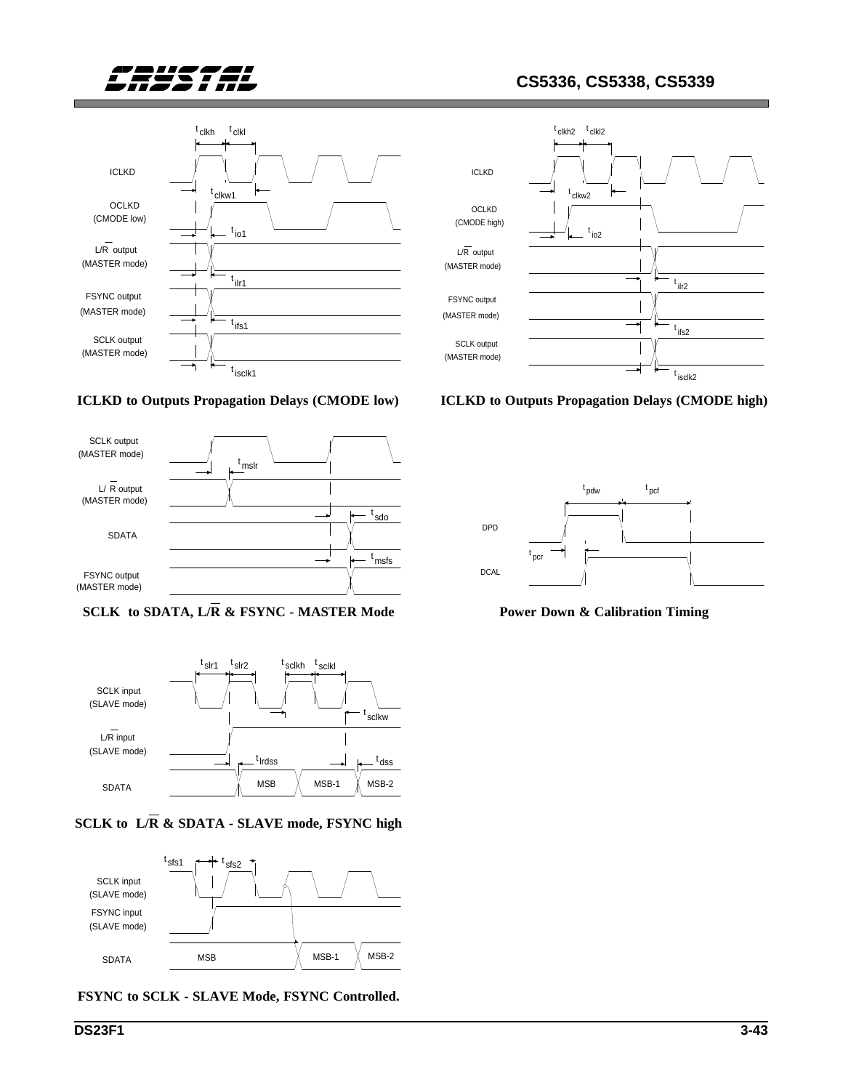











**SCLK to L/R & SDATA - SLAVE mode, FSYNC high**







**ICLKD to Outputs Propagation Delays (CMODE high)**



**Power Down & Calibration Timing**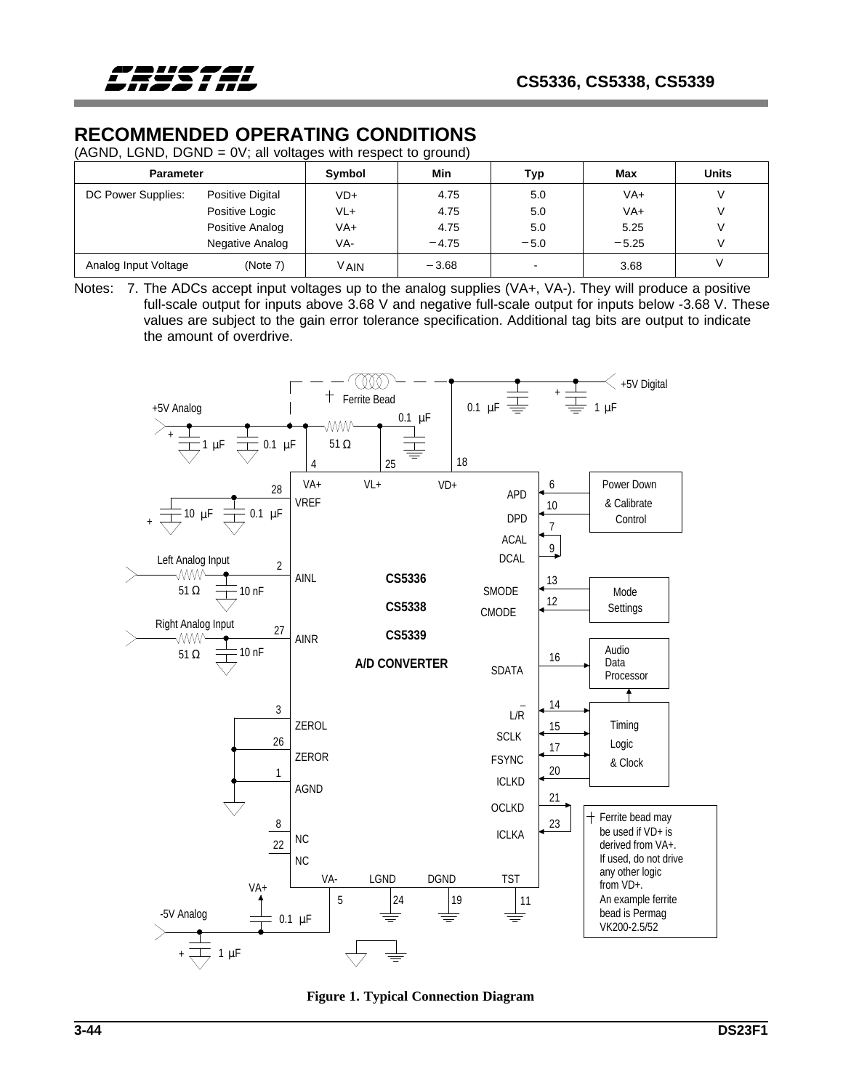# **RECOMMENDED OPERATING CONDITIONS**

(AGND, LGND, DGND = 0V; all voltages with respect to ground)

| <b>Parameter</b>     |                  | Symbol | Min     | Тур    | Max     | <b>Units</b> |
|----------------------|------------------|--------|---------|--------|---------|--------------|
| DC Power Supplies:   | Positive Digital | $VD+$  | 4.75    | 5.0    | $VA+$   | V            |
|                      | Positive Logic   | VL+    | 4.75    | 5.0    | VA+     | V            |
|                      | Positive Analog  | VA+    | 4.75    | 5.0    | 5.25    |              |
|                      | Negative Analog  | VA-    | $-4.75$ | $-5.0$ | $-5.25$ |              |
| Analog Input Voltage | (Note 7)         | V AIN  | $-3.68$ |        | 3.68    |              |

Notes: 7. The ADCs accept input voltages up to the analog supplies (VA+, VA-). They will produce a positive full-scale output for inputs above 3.68 V and negative full-scale output for inputs below -3.68 V. These values are subject to the gain error tolerance specification. Additional tag bits are output to indicate the amount of overdrive.



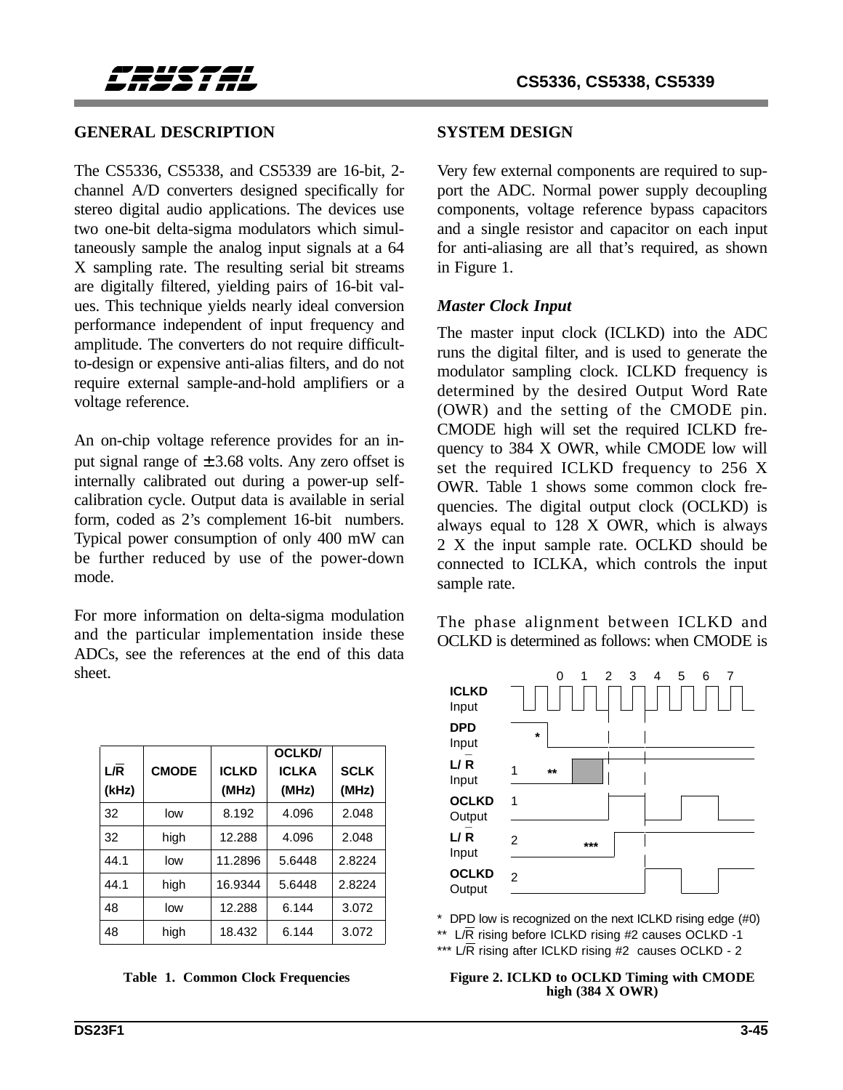

#### **GENERAL DESCRIPTION**

The CS5336, CS5338, and CS5339 are 16-bit, 2 channel A/D converters designed specifically for stereo digital audio applications. The devices use two one-bit delta-sigma modulators which simultaneously sample the analog input signals at a 64 X sampling rate. The resulting serial bit streams are digitally filtered, yielding pairs of 16-bit values. This technique yields nearly ideal conversion performance independent of input frequency and amplitude. The converters do not require difficultto-design or expensive anti-alias filters, and do not require external sample-and-hold amplifiers or a voltage reference.

An on-chip voltage reference provides for an input signal range of  $\pm 3.68$  volts. Any zero offset is internally calibrated out during a power-up selfcalibration cycle. Output data is available in serial form, coded as 2's complement 16-bit numbers. Typical power consumption of only 400 mW can be further reduced by use of the power-down mode.

For more information on delta-sigma modulation and the particular implementation inside these ADCs, see the references at the end of this data sheet.

| L/R<br>(kHz) | <b>CMODE</b> | <b>ICLKD</b><br>(MHz) | OCLKD/<br><b>ICLKA</b><br>(MHz) | <b>SCLK</b><br>(MHz) |
|--------------|--------------|-----------------------|---------------------------------|----------------------|
| 32           | low          | 8.192                 | 4.096                           | 2.048                |
| 32           | high         | 12.288                | 4.096                           | 2.048                |
| 44.1         | low          | 11.2896               | 5.6448                          | 2.8224               |
| 44.1         | high         | 16.9344               | 5.6448                          | 2.8224               |
| 48           | low          | 12.288                | 6.144                           | 3.072                |
| 48           | high         | 18.432                | 6.144                           | 3.072                |

#### **SYSTEM DESIGN**

Very few external components are required to support the ADC. Normal power supply decoupling components, voltage reference bypass capacitors and a single resistor and capacitor on each input for anti-aliasing are all that's required, as shown in Figure 1.

#### *Master Clock Input*

The master input clock (ICLKD) into the ADC runs the digital filter, and is used to generate the modulator sampling clock. ICLKD frequency is determined by the desired Output Word Rate (OWR) and the setting of the CMODE pin. CMODE high will set the required ICLKD frequency to 384 X OWR, while CMODE low will set the required ICLKD frequency to 256 X OWR. Table 1 shows some common clock frequencies. The digital output clock (OCLKD) is always equal to 128 X OWR, which is always 2 X the input sample rate. OCLKD should be connected to ICLKA, which controls the input sample rate.

The phase alignment between ICLKD and OCLKD is determined as follows: when CMODE is



\* DPD low is recognized on the next ICLKD rising edge (#0)

\*\* L/R rising before ICLKD rising #2 causes OCLKD -1

\*\*\*  $L/R$  rising after ICLKD rising #2 causes OCLKD - 2

#### Table 1. Common Clock Frequencies Figure 2. ICLKD to OCLKD Timing with CMODE **high (384 X OWR)**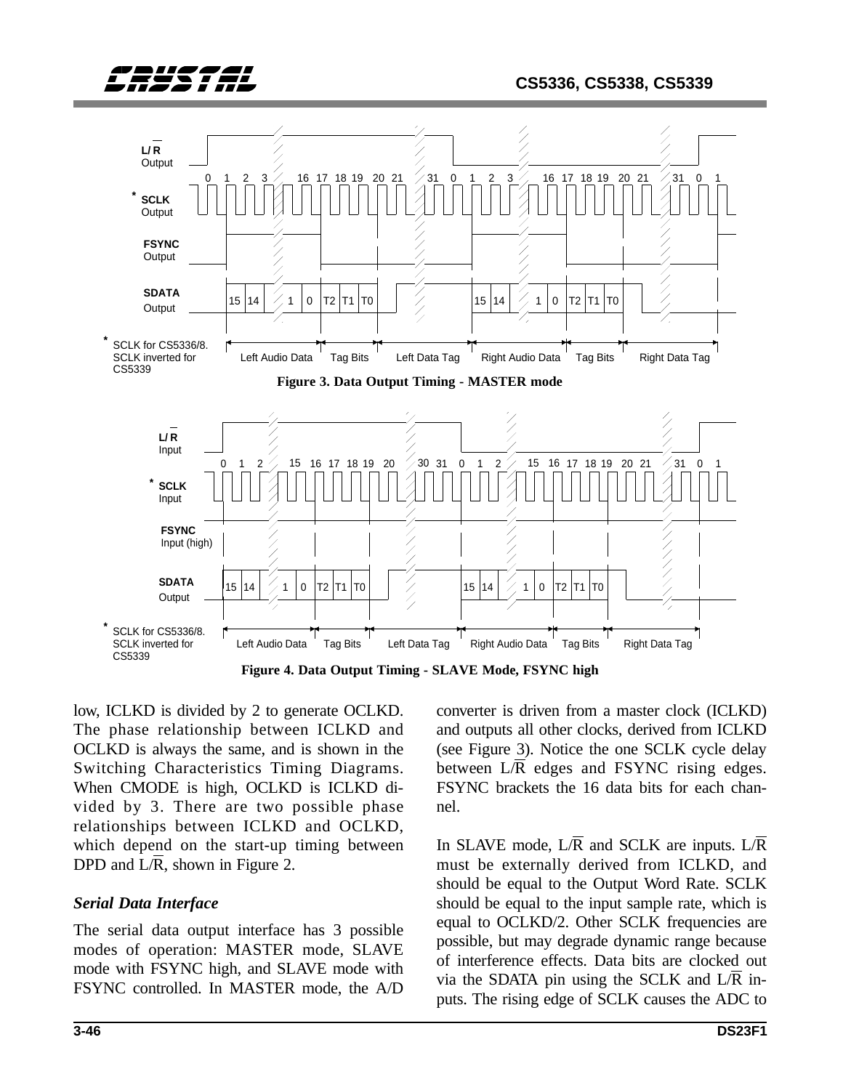



**Figure 4. Data Output Timing - SLAVE Mode, FSYNC high**

low, ICLKD is divided by 2 to generate OCLKD. The phase relationship between ICLKD and OCLKD is always the same, and is shown in the Switching Characteristics Timing Diagrams. When CMODE is high, OCLKD is ICLKD divided by 3. There are two possible phase relationships between ICLKD and OCLKD, which depend on the start-up timing between DPD and  $L/\overline{R}$ , shown in Figure 2.

### *Serial Data Interface*

The serial data output interface has 3 possible modes of operation: MASTER mode, SLAVE mode with FSYNC high, and SLAVE mode with FSYNC controlled. In MASTER mode, the A/D converter is driven from a master clock (ICLKD) and outputs all other clocks, derived from ICLKD (see Figure 3). Notice the one SCLK cycle delay between  $L/\overline{R}$  edges and FSYNC rising edges. FSYNC brackets the 16 data bits for each channel.

In SLAVE mode, L/R and SCLK are inputs. L/R must be externally derived from ICLKD, and should be equal to the Output Word Rate. SCLK should be equal to the input sample rate, which is equal to OCLKD/2. Other SCLK frequencies are possible, but may degrade dynamic range because of interference effects. Data bits are clocked out via the SDATA pin using the SCLK and  $L/R$  inputs. The rising edge of SCLK causes the ADC to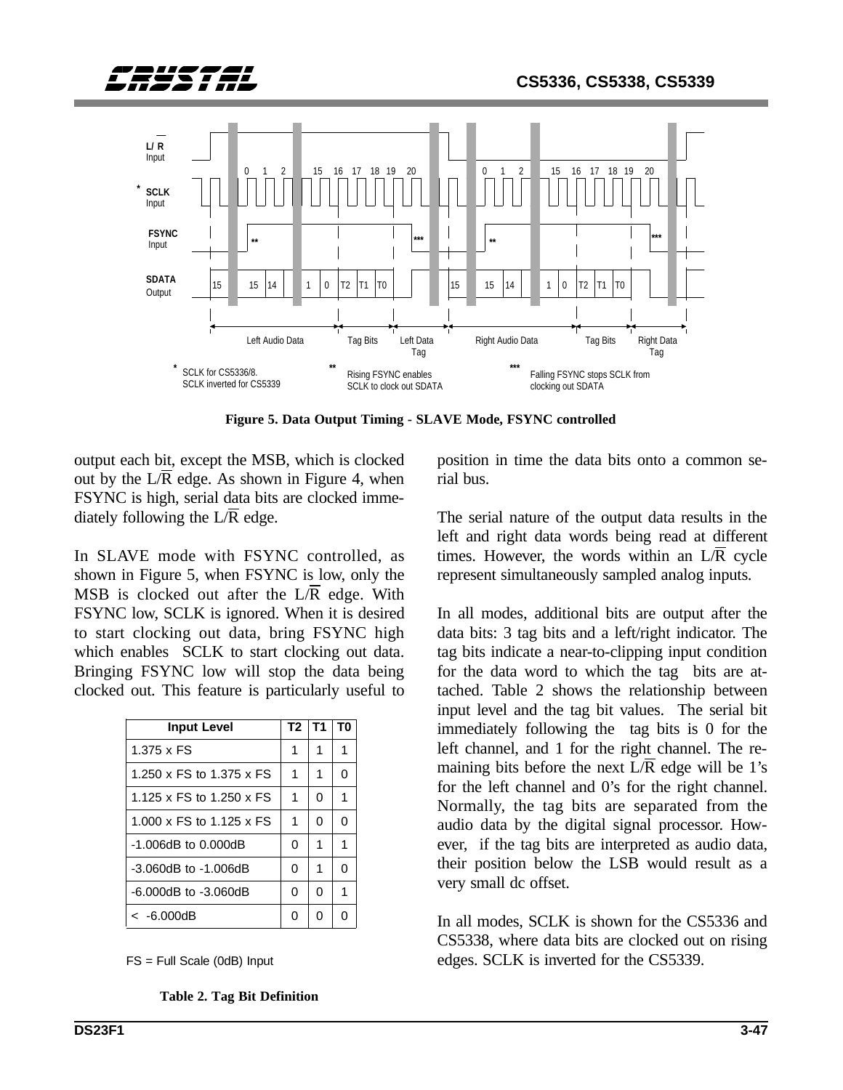



**Figure 5. Data Output Timing - SLAVE Mode, FSYNC controlled**

output each bit, except the MSB, which is clocked out by the  $L/\overline{R}$  edge. As shown in Figure 4, when FSYNC is high, serial data bits are clocked immediately following the  $L/\overline{R}$  edge.

In SLAVE mode with FSYNC controlled, as shown in Figure 5, when FSYNC is low, only the MSB is clocked out after the  $L/R$  edge. With FSYNC low, SCLK is ignored. When it is desired to start clocking out data, bring FSYNC high which enables SCLK to start clocking out data. Bringing FSYNC low will stop the data being clocked out. This feature is particularly useful to

| <b>Input Level</b>         | T2 | Т1 | T0 |
|----------------------------|----|----|----|
| 1.375 x FS                 | 1  | 1  | 1  |
| 1.250 x FS to 1.375 x FS   |    | 1  | ი  |
| 1.125 x FS to 1.250 x FS   | 1  | 0  | 1  |
| 1.000 x FS to 1.125 x FS   | 1  | 0  | 0  |
| $-1.006$ dB to $0.000$ dB  | O  | 1  | 1  |
| $-3.060$ dB to $-1.006$ dB | 0  | 1  | ი  |
| $-6.000$ dB to $-3.060$ dB | 0  | 0  | 1  |
| < -6.000dB                 | n  | n  |    |

FS = Full Scale (0dB) Input

**Table 2. Tag Bit Definition**

position in time the data bits onto a common serial bus.

The serial nature of the output data results in the left and right data words being read at different times. However, the words within an  $L/\overline{R}$  cycle represent simultaneously sampled analog inputs.

In all modes, additional bits are output after the data bits: 3 tag bits and a left/right indicator. The tag bits indicate a near-to-clipping input condition for the data word to which the tag bits are attached. Table 2 shows the relationship between input level and the tag bit values. The serial bit immediately following the tag bits is 0 for the left channel, and 1 for the right channel. The remaining bits before the next  $L/R$  edge will be 1's for the left channel and 0's for the right channel. Normally, the tag bits are separated from the audio data by the digital signal processor. However, if the tag bits are interpreted as audio data, their position below the LSB would result as a very small dc offset.

In all modes, SCLK is shown for the CS5336 and CS5338, where data bits are clocked out on rising edges. SCLK is inverted for the CS5339.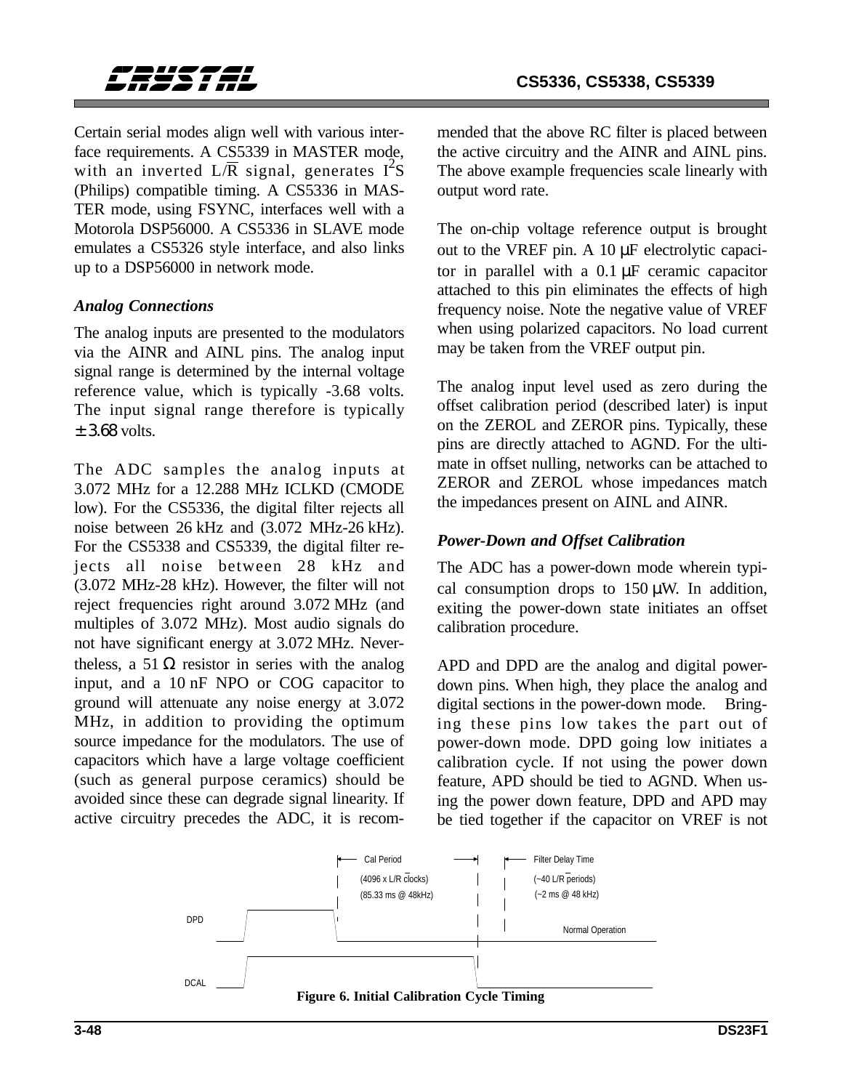

Certain serial modes align well with various interface requirements. A CS5339 in MASTER mode, with an inverted  $L/\overline{R}$  signal, generates  $I^2S$ (Philips) compatible timing. A CS5336 in MAS-TER mode, using FSYNC, interfaces well with a Motorola DSP56000. A CS5336 in SLAVE mode emulates a CS5326 style interface, and also links up to a DSP56000 in network mode.

#### *Analog Connections*

The analog inputs are presented to the modulators via the AINR and AINL pins. The analog input signal range is determined by the internal voltage reference value, which is typically -3.68 volts. The input signal range therefore is typically  $+3.68$  volts.

The ADC samples the analog inputs at 3.072 MHz for a 12.288 MHz ICLKD (CMODE low). For the CS5336, the digital filter rejects all noise between 26 kHz and (3.072 MHz-26 kHz). For the CS5338 and CS5339, the digital filter rejects all noise between 28 kHz and (3.072 MHz-28 kHz). However, the filter will not reject frequencies right around 3.072 MHz (and multiples of 3.072 MHz). Most audio signals do not have significant energy at 3.072 MHz. Nevertheless, a 51  $\Omega$  resistor in series with the analog input, and a 10 nF NPO or COG capacitor to ground will attenuate any noise energy at 3.072 MHz, in addition to providing the optimum source impedance for the modulators. The use of capacitors which have a large voltage coefficient (such as general purpose ceramics) should be avoided since these can degrade signal linearity. If active circuitry precedes the ADC, it is recommended that the above RC filter is placed between the active circuitry and the AINR and AINL pins. The above example frequencies scale linearly with output word rate.

The on-chip voltage reference output is brought out to the VREF pin. A 10 µF electrolytic capacitor in parallel with a 0.1 µF ceramic capacitor attached to this pin eliminates the effects of high frequency noise. Note the negative value of VREF when using polarized capacitors. No load current may be taken from the VREF output pin.

The analog input level used as zero during the offset calibration period (described later) is input on the ZEROL and ZEROR pins. Typically, these pins are directly attached to AGND. For the ultimate in offset nulling, networks can be attached to ZEROR and ZEROL whose impedances match the impedances present on AINL and AINR.

### *Power-Down and Offset Calibration*

The ADC has a power-down mode wherein typical consumption drops to  $150 \mu W$ . In addition, exiting the power-down state initiates an offset calibration procedure.

APD and DPD are the analog and digital powerdown pins. When high, they place the analog and digital sections in the power-down mode. Bringing these pins low takes the part out of power-down mode. DPD going low initiates a calibration cycle. If not using the power down feature, APD should be tied to AGND. When using the power down feature, DPD and APD may be tied together if the capacitor on VREF is not

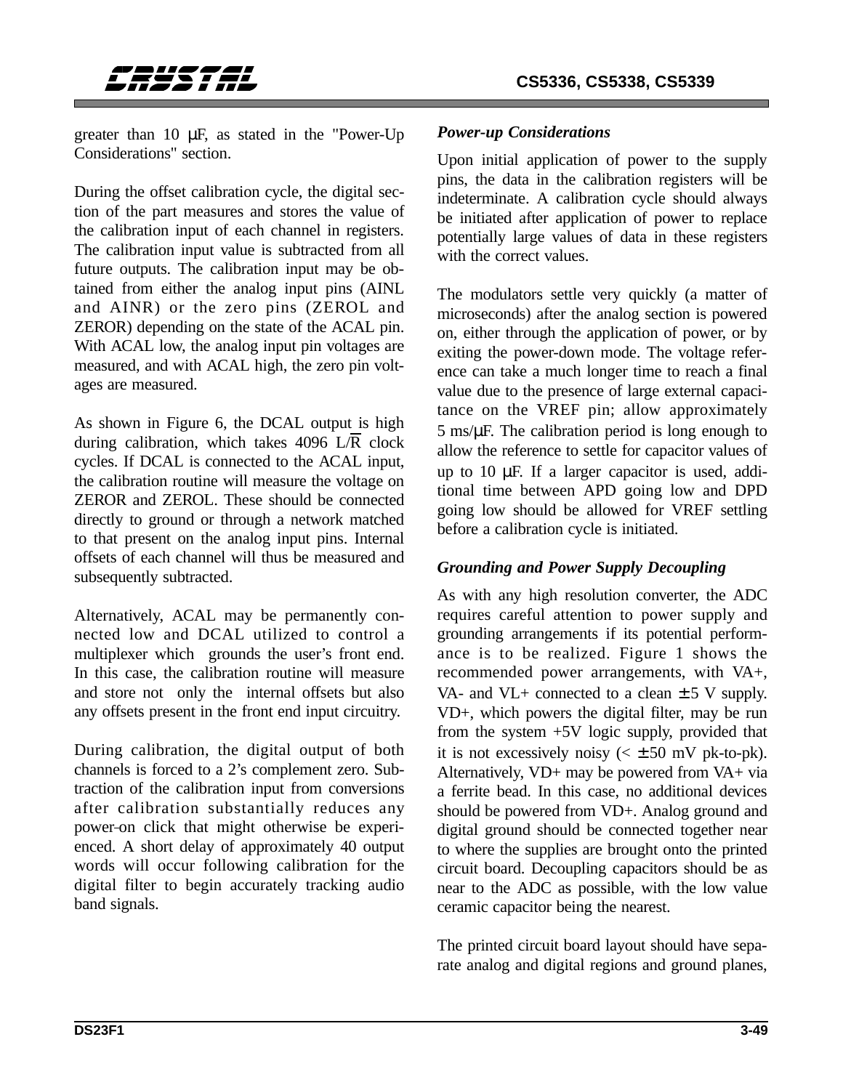

greater than 10 µF, as stated in the "Power-Up Considerations" section.

During the offset calibration cycle, the digital section of the part measures and stores the value of the calibration input of each channel in registers. The calibration input value is subtracted from all future outputs. The calibration input may be obtained from either the analog input pins (AINL and AINR) or the zero pins (ZEROL and ZEROR) depending on the state of the ACAL pin. With ACAL low, the analog input pin voltages are measured, and with ACAL high, the zero pin voltages are measured.

As shown in Figure 6, the DCAL output is high during calibration, which takes 4096  $L/\overline{R}$  clock cycles. If DCAL is connected to the ACAL input, the calibration routine will measure the voltage on ZEROR and ZEROL. These should be connected directly to ground or through a network matched to that present on the analog input pins. Internal offsets of each channel will thus be measured and subsequently subtracted.

Alternatively, ACAL may be permanently connected low and DCAL utilized to control a multiplexer which grounds the user's front end. In this case, the calibration routine will measure and store not only the internal offsets but also any offsets present in the front end input circuitry.

During calibration, the digital output of both channels is forced to a 2's complement zero. Subtraction of the calibration input from conversions after calibration substantially reduces any power on click that might otherwise be experienced. A short delay of approximately 40 output words will occur following calibration for the digital filter to begin accurately tracking audio band signals.

### *Power-up Considerations*

Upon initial application of power to the supply pins, the data in the calibration registers will be indeterminate. A calibration cycle should always be initiated after application of power to replace potentially large values of data in these registers with the correct values.

The modulators settle very quickly (a matter of microseconds) after the analog section is powered on, either through the application of power, or by exiting the power-down mode. The voltage reference can take a much longer time to reach a final value due to the presence of large external capacitance on the VREF pin; allow approximately 5 ms/µF. The calibration period is long enough to allow the reference to settle for capacitor values of up to 10 µF. If a larger capacitor is used, additional time between APD going low and DPD going low should be allowed for VREF settling before a calibration cycle is initiated.

### *Grounding and Power Supply Decoupling*

As with any high resolution converter, the ADC requires careful attention to power supply and grounding arrangements if its potential performance is to be realized. Figure 1 shows the recommended power arrangements, with VA+, VA- and VL+ connected to a clean  $\pm$  5 V supply. VD+, which powers the digital filter, may be run from the system +5V logic supply, provided that it is not excessively noisy  $( $\pm 50$  mV pk-to-pk).$ Alternatively, VD+ may be powered from VA+ via a ferrite bead. In this case, no additional devices should be powered from VD+. Analog ground and digital ground should be connected together near to where the supplies are brought onto the printed circuit board. Decoupling capacitors should be as near to the ADC as possible, with the low value ceramic capacitor being the nearest.

The printed circuit board layout should have separate analog and digital regions and ground planes,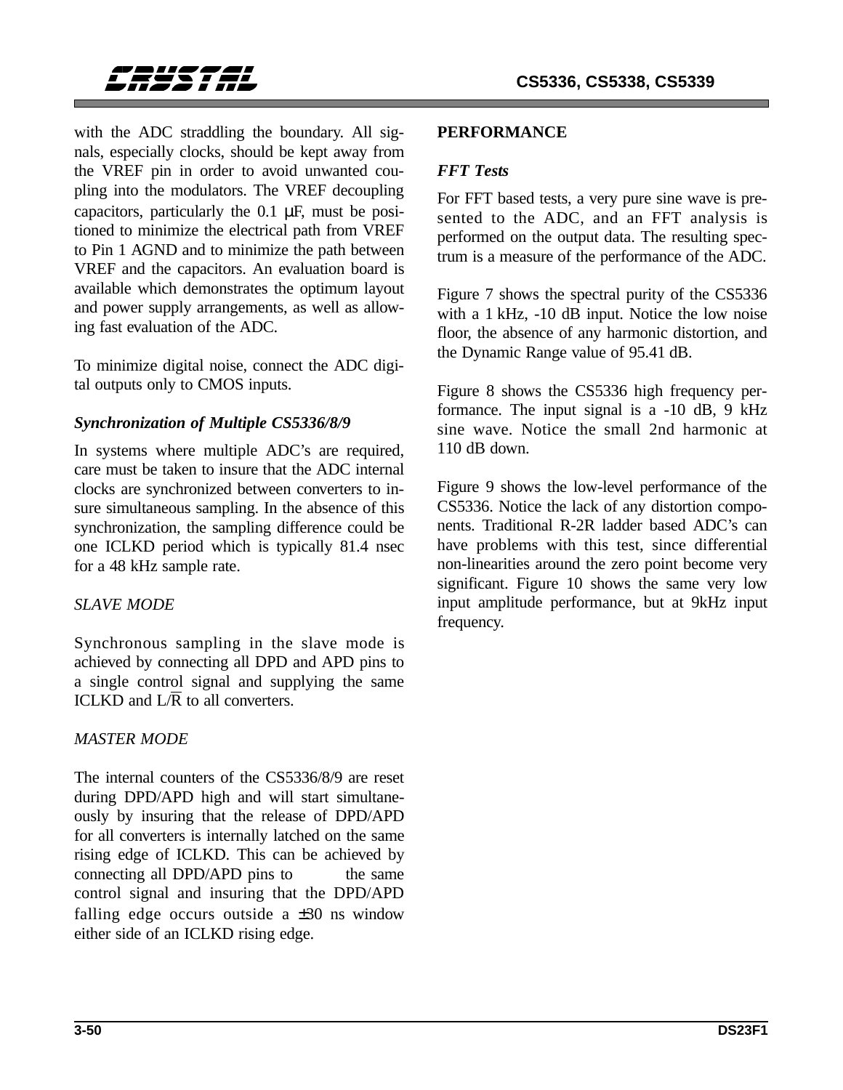

with the ADC straddling the boundary. All signals, especially clocks, should be kept away from the VREF pin in order to avoid unwanted coupling into the modulators. The VREF decoupling capacitors, particularly the  $0.1 \mu$ F, must be positioned to minimize the electrical path from VREF to Pin 1 AGND and to minimize the path between VREF and the capacitors. An evaluation board is available which demonstrates the optimum layout and power supply arrangements, as well as allowing fast evaluation of the ADC.

To minimize digital noise, connect the ADC digital outputs only to CMOS inputs.

### *Synchronization of Multiple CS5336/8/9*

In systems where multiple ADC's are required, care must be taken to insure that the ADC internal clocks are synchronized between converters to insure simultaneous sampling. In the absence of this synchronization, the sampling difference could be one ICLKD period which is typically 81.4 nsec for a 48 kHz sample rate.

### *SLAVE MODE*

Synchronous sampling in the slave mode is achieved by connecting all DPD and APD pins to a single control signal and supplying the same ICLKD and  $L/R$  to all converters.

### *MASTER MODE*

The internal counters of the CS5336/8/9 are reset during DPD/APD high and will start simultaneously by insuring that the release of DPD/APD for all converters is internally latched on the same rising edge of ICLKD. This can be achieved by connecting all DPD/APD pins to the same control signal and insuring that the DPD/APD falling edge occurs outside a  $\pm 30$  ns window either side of an ICLKD rising edge.

#### **PERFORMANCE**

### *FFT Tests*

For FFT based tests, a very pure sine wave is presented to the ADC, and an FFT analysis is performed on the output data. The resulting spectrum is a measure of the performance of the ADC.

Figure 7 shows the spectral purity of the CS5336 with a 1 kHz, -10 dB input. Notice the low noise floor, the absence of any harmonic distortion, and the Dynamic Range value of 95.41 dB.

Figure 8 shows the CS5336 high frequency performance. The input signal is a -10 dB, 9 kHz sine wave. Notice the small 2nd harmonic at 110 dB down.

Figure 9 shows the low-level performance of the CS5336. Notice the lack of any distortion components. Traditional R-2R ladder based ADC's can have problems with this test, since differential non-linearities around the zero point become very significant. Figure 10 shows the same very low input amplitude performance, but at 9kHz input frequency.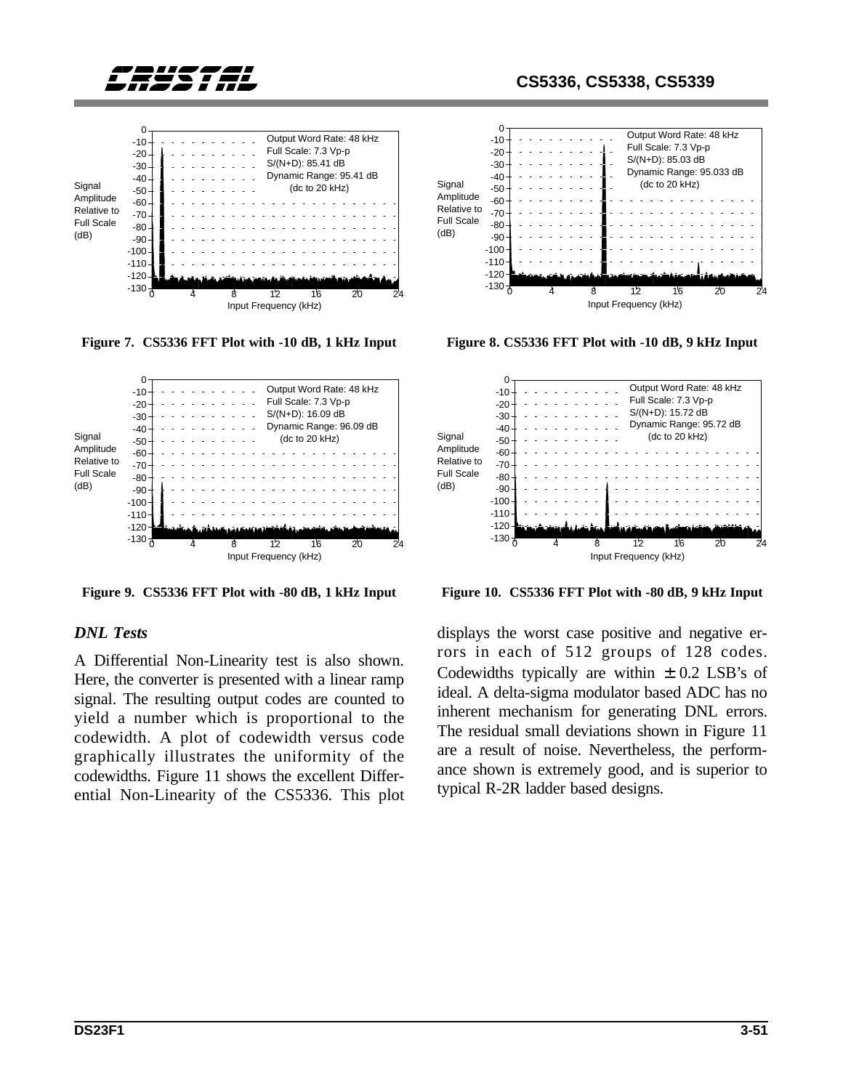



**Figure 7. CS5336 FFT Plot with -10 dB, 1 kHz Input Figure 8. CS5336 FFT Plot with -10 dB, 9 kHz Input**



**Figure 9. CS5336 FFT Plot with -80 dB, 1 kHz Input**

#### *DNL Tests*

A Differential Non-Linearity test is also shown. Here, the converter is presented with a linear ramp signal. The resulting output codes are counted to yield a number which is proportional to the codewidth. A plot of codewidth versus code graphically illustrates the uniformity of the codewidths. Figure 11 shows the excellent Differential Non-Linearity of the CS5336. This plot







**Figure 10. CS5336 FFT Plot with -80 dB, 9 kHz Input**

displays the worst case positive and negative errors in each of 512 groups of 128 codes. Codewidths typically are within  $\pm$  0.2 LSB's of ideal. A delta-sigma modulator based ADC has no inherent mechanism for generating DNL errors. The residual small deviations shown in Figure 11 are a result of noise. Nevertheless, the performance shown is extremely good, and is superior to typical R-2R ladder based designs.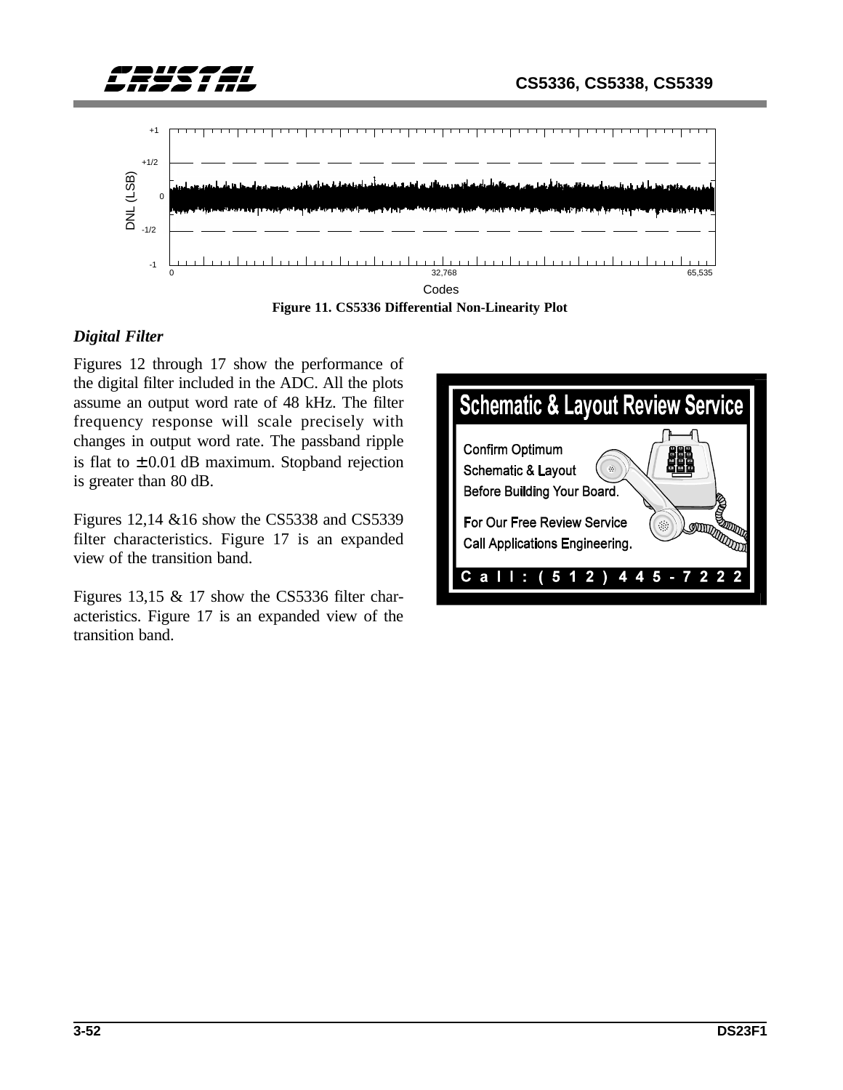



**Figure 11. CS5336 Differential Non-Linearity Plot**

### *Digital Filter*

Figures 12 through 17 show the performance of the digital filter included in the ADC. All the plots assume an output word rate of 48 kHz. The filter frequency response will scale precisely with changes in output word rate. The passband ripple is flat to  $\pm 0.01$  dB maximum. Stopband rejection is greater than 80 dB.

Figures 12,14 &16 show the CS5338 and CS5339 filter characteristics. Figure 17 is an expanded view of the transition band.

Figures 13,15 & 17 show the CS5336 filter characteristics. Figure 17 is an expanded view of the transition band.

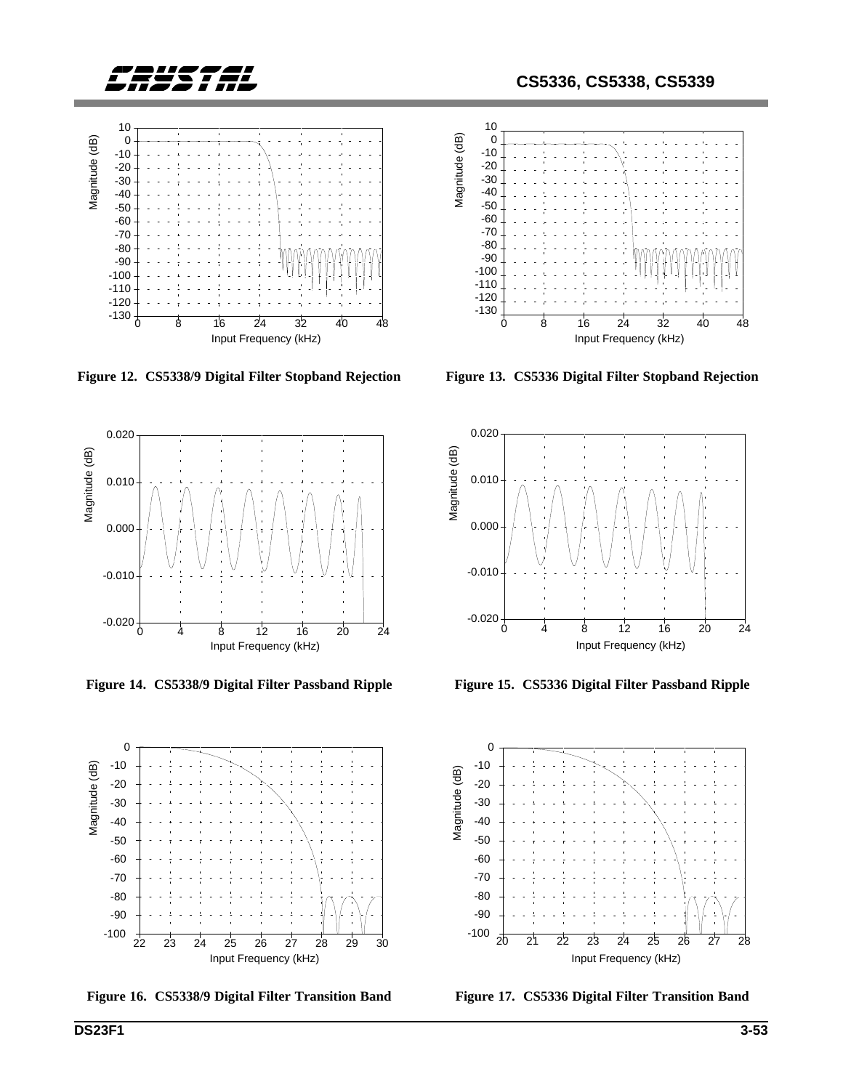



**Figure 12. CS5338/9 Digital Filter Stopband Rejection**



**Figure 14. CS5338/9 Digital Filter Passband Ripple**



Figure 16. CS5338/9 Digital Filter Transition Band Figure 17. CS5336 Digital Filter Transition Band



**Figure 13. CS5336 Digital Filter Stopband Rejection**



**Figure 15. CS5336 Digital Filter Passband Ripple**

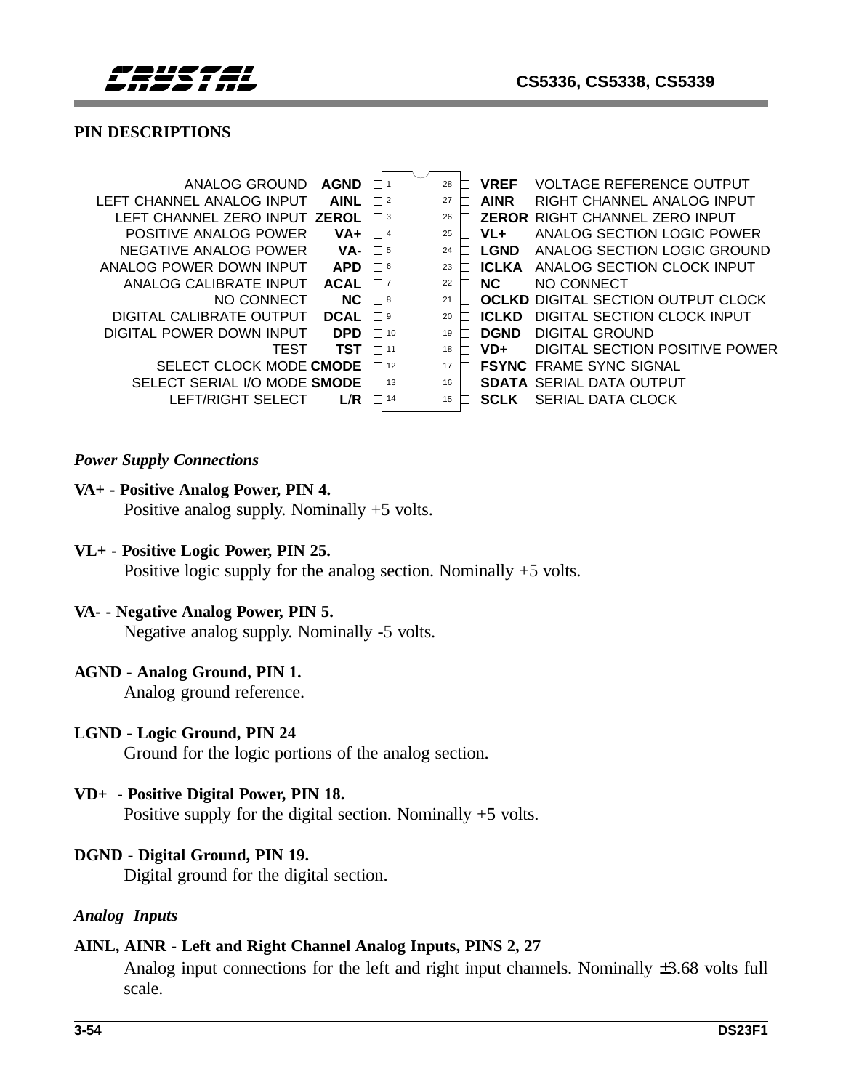

### **PIN DESCRIPTIONS**

| ANALOG GROUND                 | <b>AGND</b> |                | 28                   | <b>VREF</b>  | <b>VOLTAGE REFERENCE OUTPUT</b>           |
|-------------------------------|-------------|----------------|----------------------|--------------|-------------------------------------------|
| LEFT CHANNEL ANALOG INPUT     | <b>AINL</b> |                | $\overline{2}$<br>27 | <b>AINR</b>  | RIGHT CHANNEL ANALOG INPUT                |
| LEFT CHANNEL ZERO INPUT ZEROL |             |                | 26<br>3              |              | <b>ZEROR RIGHT CHANNEL ZERO INPUT</b>     |
| POSITIVE ANALOG POWER         | VA+         |                | 25<br>4              | $VL+$        | ANALOG SECTION LOGIC POWER                |
| NEGATIVE ANALOG POWER         | VA-         |                | 24<br>5              | <b>LGND</b>  | ANALOG SECTION LOGIC GROUND               |
| ANALOG POWER DOWN INPUT       | <b>APD</b>  | $\blacksquare$ | 6<br>23              | <b>ICLKA</b> | ANALOG SECTION CLOCK INPUT                |
| ANALOG CALIBRATE INPUT        | <b>ACAL</b> |                | 22                   | NC.          | NO CONNECT                                |
| NO CONNECT                    | NC.         |                | 8<br>21              |              | <b>OCLKD DIGITAL SECTION OUTPUT CLOCK</b> |
| DIGITAL CALIBRATE OUTPUT      | <b>DCAL</b> |                | 9<br>20              | <b>ICLKD</b> | DIGITAL SECTION CLOCK INPUT               |
| DIGITAL POWER DOWN INPUT      | <b>DPD</b>  |                | 19<br>10             | <b>DGND</b>  | DIGITAL GROUND                            |
| TEST                          | TST         |                | 11<br>18             | VD+          | DIGITAL SECTION POSITIVE POWER            |
| SELECT CLOCK MODE CMODE       |             |                | 12<br>17             |              | <b>FSYNC FRAME SYNC SIGNAL</b>            |
| SELECT SERIAL I/O MODE SMODE  |             |                | 13<br>16             |              | <b>SDATA SERIAL DATA OUTPUT</b>           |
| LEFT/RIGHT SELECT             | L/R         |                | 14<br>15             | <b>SCLK</b>  | SERIAL DATA CLOCK                         |
|                               |             |                |                      |              |                                           |

#### *Power Supply Connections*

#### **VA+ - Positive Analog Power, PIN 4.**

Positive analog supply. Nominally +5 volts.

#### **VL+ - Positive Logic Power, PIN 25.**

Positive logic supply for the analog section. Nominally +5 volts.

#### **VA- - Negative Analog Power, PIN 5.**

Negative analog supply. Nominally -5 volts.

#### **AGND - Analog Ground, PIN 1.**

Analog ground reference.

#### **LGND - Logic Ground, PIN 24**

Ground for the logic portions of the analog section.

#### **VD+ - Positive Digital Power, PIN 18.**

Positive supply for the digital section. Nominally +5 volts.

#### **DGND - Digital Ground, PIN 19.**

Digital ground for the digital section.

#### *Analog Inputs*

#### **AINL, AINR - Left and Right Channel Analog Inputs, PINS 2, 27**

Analog input connections for the left and right input channels. Nominally ±3.68 volts full scale.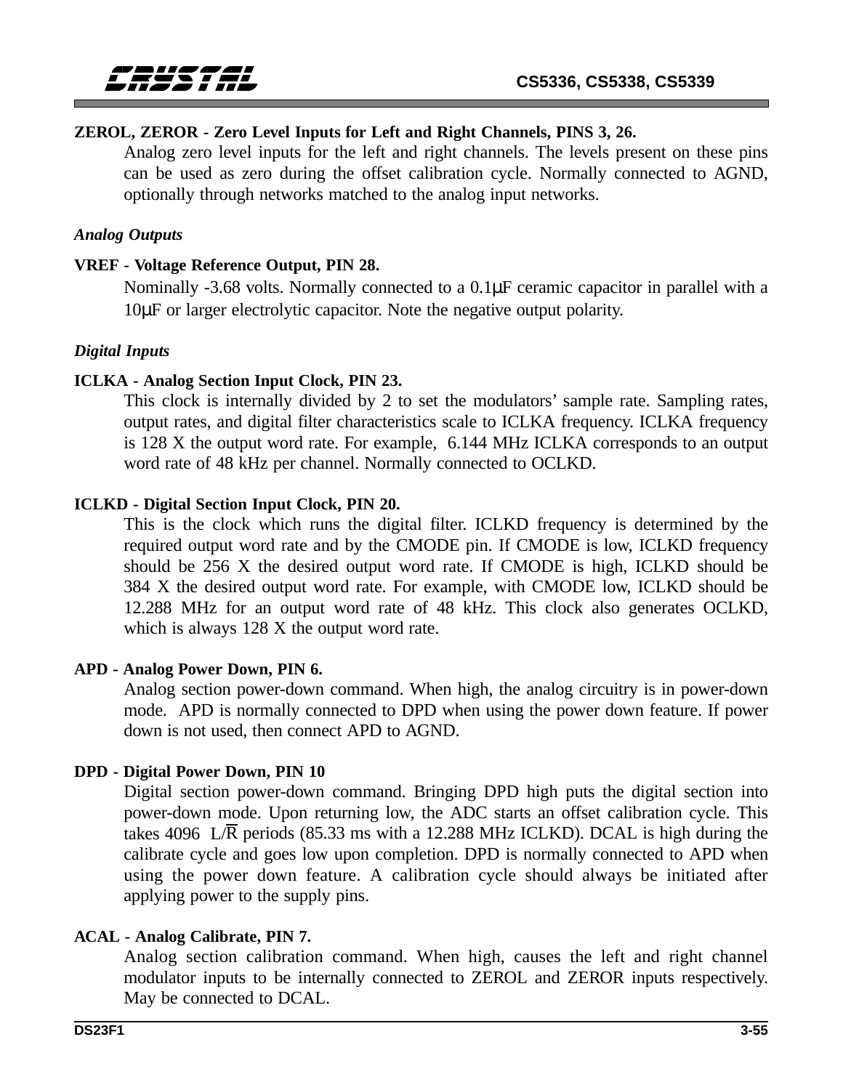### **ZEROL, ZEROR - Zero Level Inputs for Left and Right Channels, PINS 3, 26.**

Analog zero level inputs for the left and right channels. The levels present on these pins can be used as zero during the offset calibration cycle. Normally connected to AGND, optionally through networks matched to the analog input networks.

#### *Analog Outputs*

#### **VREF - Voltage Reference Output, PIN 28.**

Nominally -3.68 volts. Normally connected to a 0.1µF ceramic capacitor in parallel with a 10µF or larger electrolytic capacitor. Note the negative output polarity.

#### *Digital Inputs*

#### **ICLKA - Analog Section Input Clock, PIN 23.**

This clock is internally divided by 2 to set the modulators' sample rate. Sampling rates, output rates, and digital filter characteristics scale to ICLKA frequency. ICLKA frequency is 128 X the output word rate. For example, 6.144 MHz ICLKA corresponds to an output word rate of 48 kHz per channel. Normally connected to OCLKD.

#### **ICLKD - Digital Section Input Clock, PIN 20.**

This is the clock which runs the digital filter. ICLKD frequency is determined by the required output word rate and by the CMODE pin. If CMODE is low, ICLKD frequency should be 256 X the desired output word rate. If CMODE is high, ICLKD should be 384 X the desired output word rate. For example, with CMODE low, ICLKD should be 12.288 MHz for an output word rate of 48 kHz. This clock also generates OCLKD, which is always 128 X the output word rate.

#### **APD - Analog Power Down, PIN 6.**

Analog section power-down command. When high, the analog circuitry is in power-down mode. APD is normally connected to DPD when using the power down feature. If power down is not used, then connect APD to AGND.

#### **DPD - Digital Power Down, PIN 10**

Digital section power-down command. Bringing DPD high puts the digital section into power-down mode. Upon returning low, the ADC starts an offset calibration cycle. This takes 4096 L/ $\overline{R}$  periods (85.33 ms with a 12.288 MHz ICLKD). DCAL is high during the calibrate cycle and goes low upon completion. DPD is normally connected to APD when using the power down feature. A calibration cycle should always be initiated after applying power to the supply pins.

#### **ACAL - Analog Calibrate, PIN 7.**

Analog section calibration command. When high, causes the left and right channel modulator inputs to be internally connected to ZEROL and ZEROR inputs respectively. May be connected to DCAL.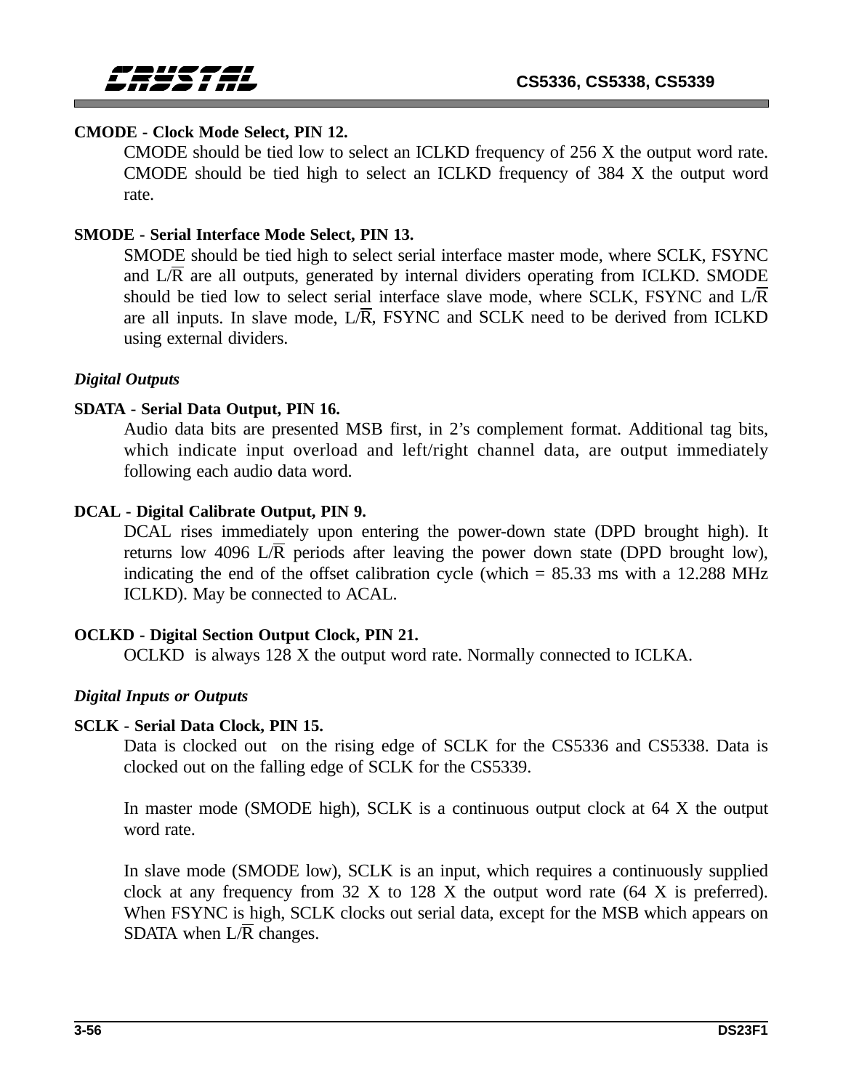### **CMODE - Clock Mode Select, PIN 12.**

CMODE should be tied low to select an ICLKD frequency of 256 X the output word rate. CMODE should be tied high to select an ICLKD frequency of 384 X the output word rate.

### **SMODE - Serial Interface Mode Select, PIN 13.**

SMODE should be tied high to select serial interface master mode, where SCLK, FSYNC and  $L/\overline{R}$  are all outputs, generated by internal dividers operating from ICLKD. SMODE should be tied low to select serial interface slave mode, where SCLK, FSYNC and  $L/R$ are all inputs. In slave mode,  $L/\overline{R}$ , FSYNC and SCLK need to be derived from ICLKD using external dividers.

### *Digital Outputs*

### **SDATA - Serial Data Output, PIN 16.**

Audio data bits are presented MSB first, in 2's complement format. Additional tag bits, which indicate input overload and left/right channel data, are output immediately following each audio data word.

### **DCAL - Digital Calibrate Output, PIN 9.**

DCAL rises immediately upon entering the power-down state (DPD brought high). It returns low 4096 L $\overline{R}$  periods after leaving the power down state (DPD brought low), indicating the end of the offset calibration cycle (which  $= 85.33$  ms with a 12.288 MHz ICLKD). May be connected to ACAL.

### **OCLKD - Digital Section Output Clock, PIN 21.**

OCLKD is always 128 X the output word rate. Normally connected to ICLKA.

### *Digital Inputs or Outputs*

### **SCLK - Serial Data Clock, PIN 15.**

Data is clocked out on the rising edge of SCLK for the CS5336 and CS5338. Data is clocked out on the falling edge of SCLK for the CS5339.

In master mode (SMODE high), SCLK is a continuous output clock at 64 X the output word rate.

In slave mode (SMODE low), SCLK is an input, which requires a continuously supplied clock at any frequency from 32 X to 128 X the output word rate (64 X is preferred). When FSYNC is high, SCLK clocks out serial data, except for the MSB which appears on SDATA when  $L/\overline{R}$  changes.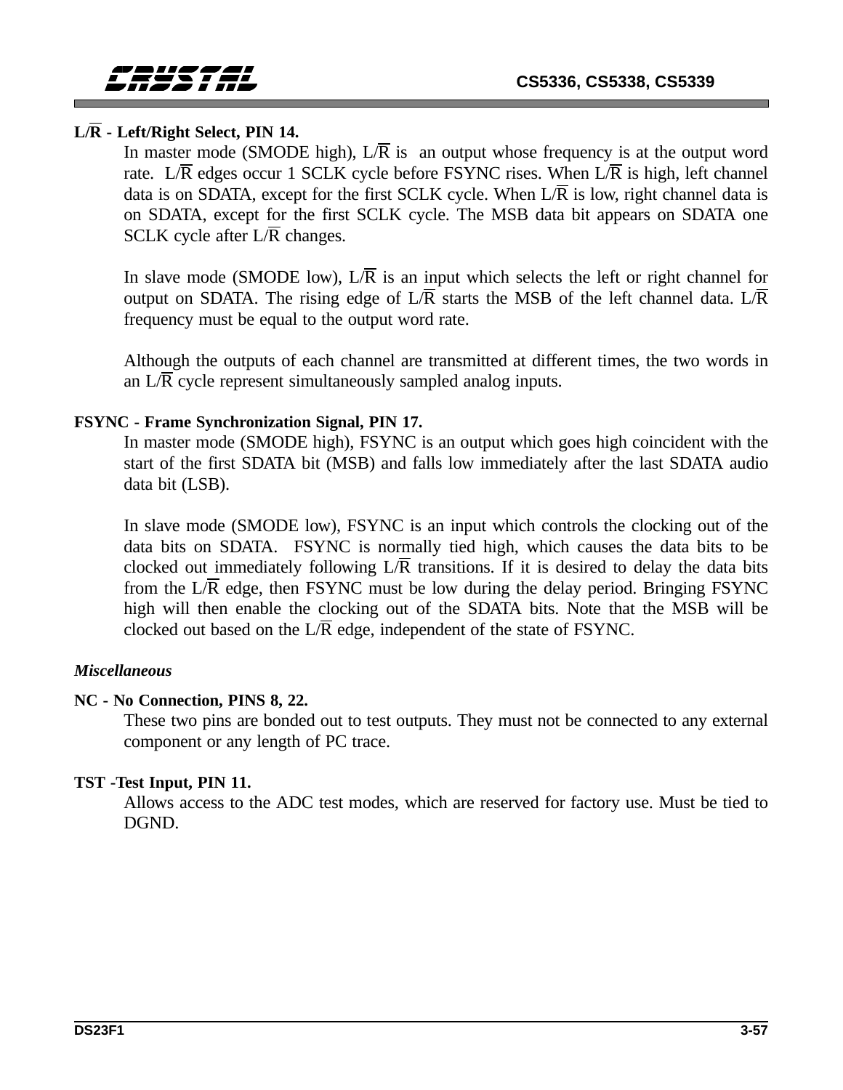### **L/R - Left/Right Select, PIN 14.**

In master mode (SMODE high),  $L/\overline{R}$  is an output whose frequency is at the output word rate. L/ $\overline{R}$  edges occur 1 SCLK cycle before FSYNC rises. When L/ $\overline{R}$  is high, left channel data is on SDATA, except for the first SCLK cycle. When  $L/R$  is low, right channel data is on SDATA, except for the first SCLK cycle. The MSB data bit appears on SDATA one SCLK cycle after  $L/\overline{R}$  changes.

In slave mode (SMODE low),  $L/\overline{R}$  is an input which selects the left or right channel for output on SDATA. The rising edge of  $L/\overline{R}$  starts the MSB of the left channel data.  $L/\overline{R}$ frequency must be equal to the output word rate.

Although the outputs of each channel are transmitted at different times, the two words in an  $L/\overline{R}$  cycle represent simultaneously sampled analog inputs.

### **FSYNC - Frame Synchronization Signal, PIN 17.**

In master mode (SMODE high), FSYNC is an output which goes high coincident with the start of the first SDATA bit (MSB) and falls low immediately after the last SDATA audio data bit (LSB).

In slave mode (SMODE low), FSYNC is an input which controls the clocking out of the data bits on SDATA. FSYNC is normally tied high, which causes the data bits to be clocked out immediately following  $L/\overline{R}$  transitions. If it is desired to delay the data bits from the  $L/\overline{R}$  edge, then FSYNC must be low during the delay period. Bringing FSYNC high will then enable the clocking out of the SDATA bits. Note that the MSB will be clocked out based on the  $L/\overline{R}$  edge, independent of the state of FSYNC.

### *Miscellaneous*

### **NC - No Connection, PINS 8, 22.**

These two pins are bonded out to test outputs. They must not be connected to any external component or any length of PC trace.

### **TST -Test Input, PIN 11.**

Allows access to the ADC test modes, which are reserved for factory use. Must be tied to DGND.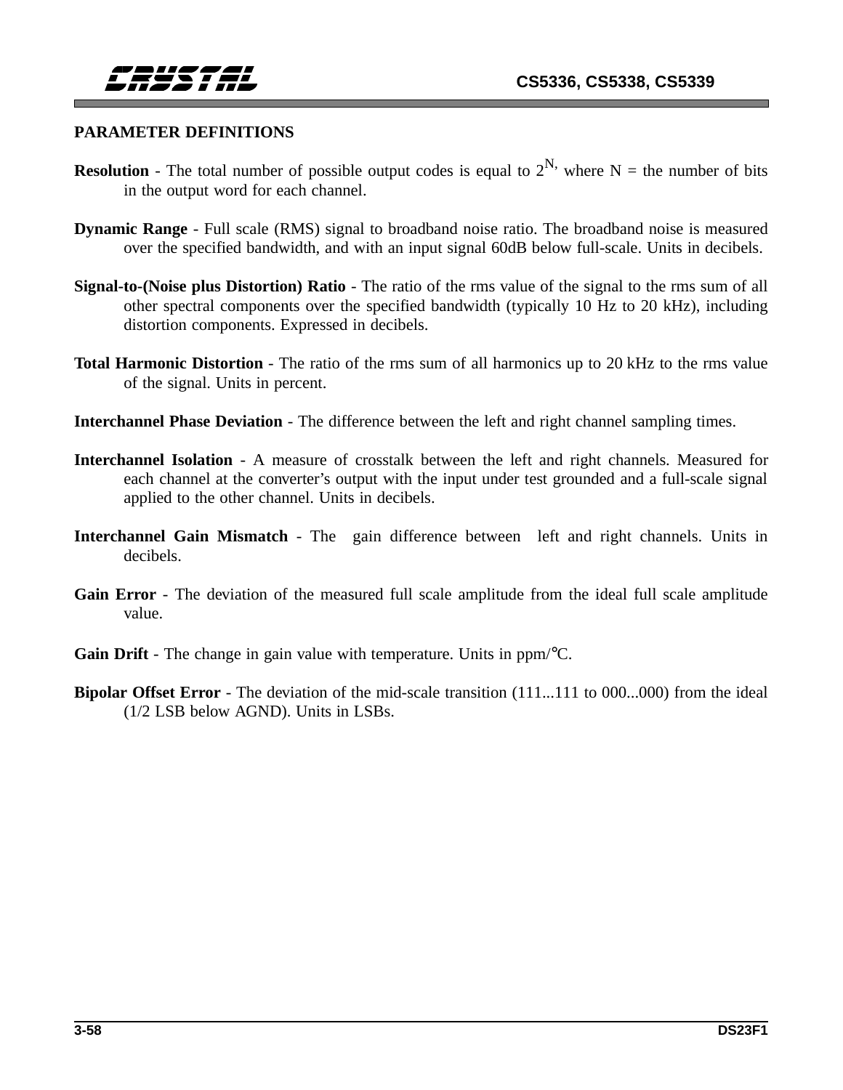### **PARAMETER DEFINITIONS**

- **Resolution** The total number of possible output codes is equal to  $2^N$ , where N = the number of bits in the output word for each channel.
- **Dynamic Range** Full scale (RMS) signal to broadband noise ratio. The broadband noise is measured over the specified bandwidth, and with an input signal 60dB below full-scale. Units in decibels.
- **Signal-to-(Noise plus Distortion) Ratio** The ratio of the rms value of the signal to the rms sum of all other spectral components over the specified bandwidth (typically 10 Hz to 20 kHz), including distortion components. Expressed in decibels.
- **Total Harmonic Distortion** The ratio of the rms sum of all harmonics up to 20 kHz to the rms value of the signal. Units in percent.
- **Interchannel Phase Deviation** The difference between the left and right channel sampling times.
- **Interchannel Isolation**  A measure of crosstalk between the left and right channels. Measured for each channel at the converter's output with the input under test grounded and a full-scale signal applied to the other channel. Units in decibels.
- **Interchannel Gain Mismatch** The gain difference between left and right channels. Units in decibels.
- **Gain Error**  The deviation of the measured full scale amplitude from the ideal full scale amplitude value.
- **Gain Drift** The change in gain value with temperature. Units in ppm/<sup>o</sup>C.
- **Bipolar Offset Error** The deviation of the mid-scale transition (111...111 to 000...000) from the ideal (1/2 LSB below AGND). Units in LSBs.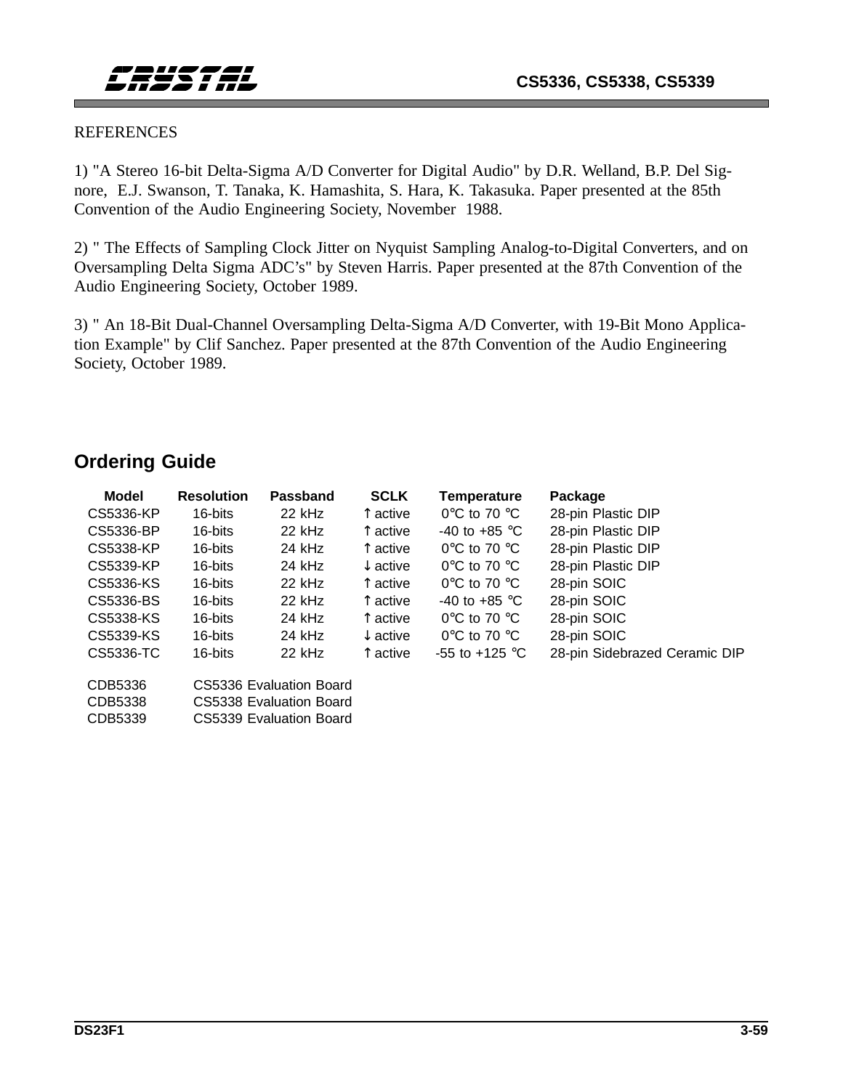#### REFERENCES

1) "A Stereo 16-bit Delta-Sigma A/D Converter for Digital Audio" by D.R. Welland, B.P. Del Signore, E.J. Swanson, T. Tanaka, K. Hamashita, S. Hara, K. Takasuka. Paper presented at the 85th Convention of the Audio Engineering Society, November 1988.

2) " The Effects of Sampling Clock Jitter on Nyquist Sampling Analog-to-Digital Converters, and on Oversampling Delta Sigma ADC's" by Steven Harris. Paper presented at the 87th Convention of the Audio Engineering Society, October 1989.

3) " An 18-Bit Dual-Channel Oversampling Delta-Sigma A/D Converter, with 19-Bit Mono Application Example" by Clif Sanchez. Paper presented at the 87th Convention of the Audio Engineering Society, October 1989.

### **Ordering Guide**

| Model     | <b>Resolution</b> | <b>Passband</b>         | <b>SCLK</b>         | Temperature                      | Package                       |
|-----------|-------------------|-------------------------|---------------------|----------------------------------|-------------------------------|
| CS5336-KP | 16-bits           | 22 kHz                  | ↑ active            | $0^{\circ}$ C to 70 $^{\circ}$ C | 28-pin Plastic DIP            |
| CS5336-BP | 16-bits           | $22$ kHz                | ↑ active            | -40 to +85 $\degree$ C           | 28-pin Plastic DIP            |
| CS5338-KP | 16-bits           | $24$ kHz                | ↑ active            | $0^{\circ}$ C to 70 $^{\circ}$ C | 28-pin Plastic DIP            |
| CS5339-KP | 16-bits           | 24 kHz                  | $\downarrow$ active | $0^{\circ}$ C to 70 $^{\circ}$ C | 28-pin Plastic DIP            |
| CS5336-KS | 16-bits           | $22$ kHz                | ↑ active            | $0^{\circ}$ C to 70 $^{\circ}$ C | 28-pin SOIC                   |
| CS5336-BS | 16-bits           | $22$ kHz                | $\uparrow$ active   | -40 to +85 $\degree$ C           | 28-pin SOIC                   |
| CS5338-KS | 16-bits           | $24$ kHz                | $\uparrow$ active   | $0^{\circ}$ C to 70 $^{\circ}$ C | 28-pin SOIC                   |
| CS5339-KS | 16-bits           | 24 kHz                  | $\downarrow$ active | $0^{\circ}$ C to 70 $^{\circ}$ C | 28-pin SOIC                   |
| CS5336-TC | 16-bits           | $22$ kHz                | ↑ active            | -55 to +125 °C                   | 28-pin Sidebrazed Ceramic DIP |
| CDB5336   |                   | CS5336 Evaluation Board |                     |                                  |                               |
| CDB5338   |                   | CS5338 Evaluation Board |                     |                                  |                               |
| CDB5339   |                   | CS5339 Evaluation Board |                     |                                  |                               |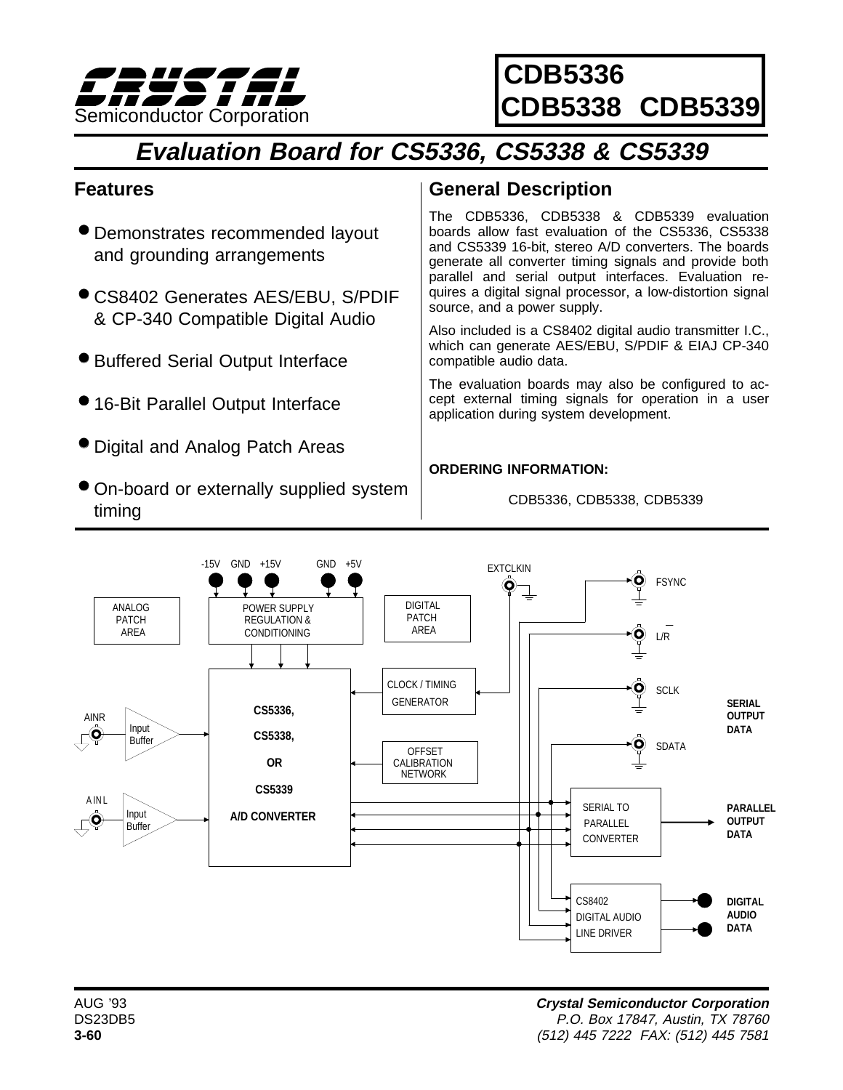

**CDB5336 CDB5338 CDB5339**

# **Evaluation Board for CS5336, CS5338 & CS5339**

# **Features**

- Demonstrates recommended layout and grounding arrangements
- CS8402 Generates AES/EBU, S/PDIF & CP-340 Compatible Digital Audio
- Buffered Serial Output Interface
- 16-Bit Parallel Output Interface
- Digital and Analog Patch Areas
- On-board or externally supplied system timing

# **General Description**

The CDB5336, CDB5338 & CDB5339 evaluation boards allow fast evaluation of the CS5336, CS5338 and CS5339 16-bit, stereo A/D converters. The boards generate all converter timing signals and provide both parallel and serial output interfaces. Evaluation requires a digital signal processor, a low-distortion signal source, and a power supply.

Also included is a CS8402 digital audio transmitter I.C., which can generate AES/EBU, S/PDIF & EIAJ CP-340 compatible audio data.

The evaluation boards may also be configured to accept external timing signals for operation in a user application during system development.

#### **ORDERING INFORMATION:**

CDB5336, CDB5338, CDB5339

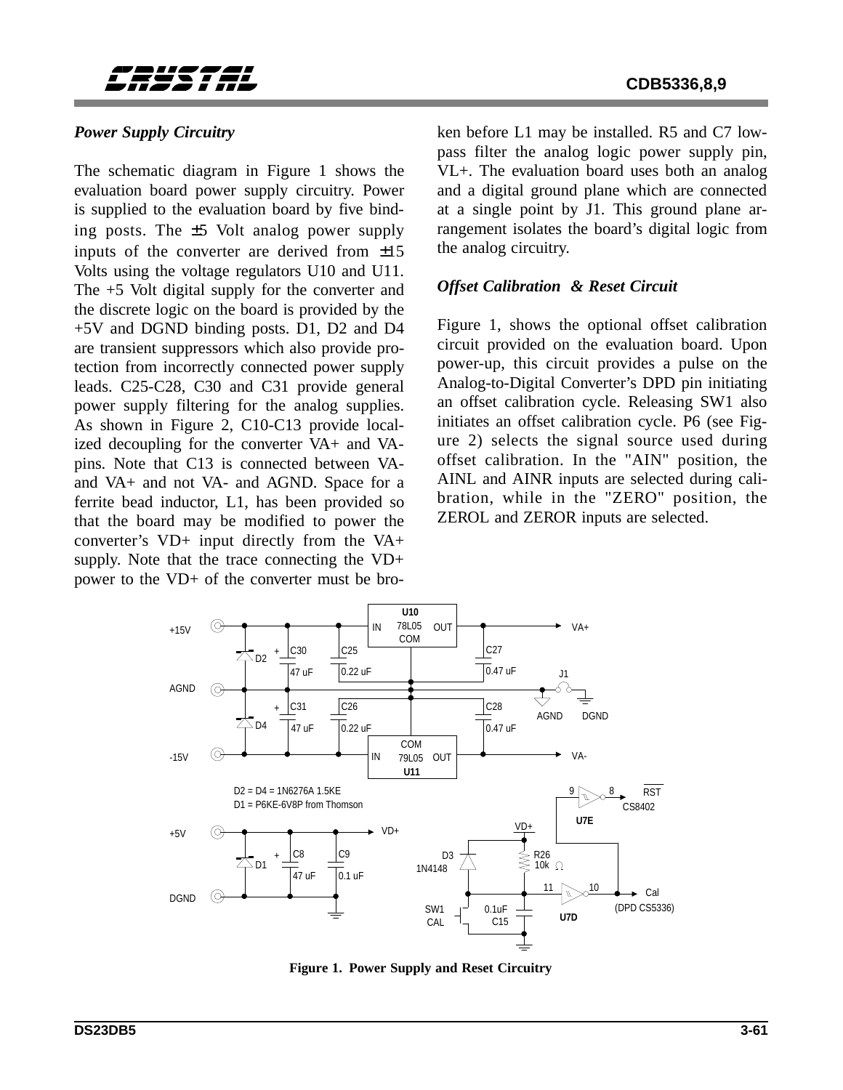

#### **CDB5336,8,9**

#### *Power Supply Circuitry*

The schematic diagram in Figure 1 shows the evaluation board power supply circuitry. Power is supplied to the evaluation board by five binding posts. The ±5 Volt analog power supply inputs of the converter are derived from ±15 Volts using the voltage regulators U10 and U11. The +5 Volt digital supply for the converter and the discrete logic on the board is provided by the +5V and DGND binding posts. D1, D2 and D4 are transient suppressors which also provide protection from incorrectly connected power supply leads. C25-C28, C30 and C31 provide general power supply filtering for the analog supplies. As shown in Figure 2, C10-C13 provide localized decoupling for the converter VA+ and VApins. Note that C13 is connected between VAand VA+ and not VA- and AGND. Space for a ferrite bead inductor, L1, has been provided so that the board may be modified to power the converter's VD+ input directly from the VA+ supply. Note that the trace connecting the VD+ power to the VD+ of the converter must be broken before L1 may be installed. R5 and C7 lowpass filter the analog logic power supply pin, VL+. The evaluation board uses both an analog and a digital ground plane which are connected at a single point by J1. This ground plane arrangement isolates the board's digital logic from the analog circuitry.

#### *Offset Calibration & Reset Circuit*

Figure 1, shows the optional offset calibration circuit provided on the evaluation board. Upon power-up, this circuit provides a pulse on the Analog-to-Digital Converter's DPD pin initiating an offset calibration cycle. Releasing SW1 also initiates an offset calibration cycle. P6 (see Figure 2) selects the signal source used during offset calibration. In the "AIN" position, the AINL and AINR inputs are selected during calibration, while in the "ZERO" position, the ZEROL and ZEROR inputs are selected.



**Figure 1. Power Supply and Reset Circuitry**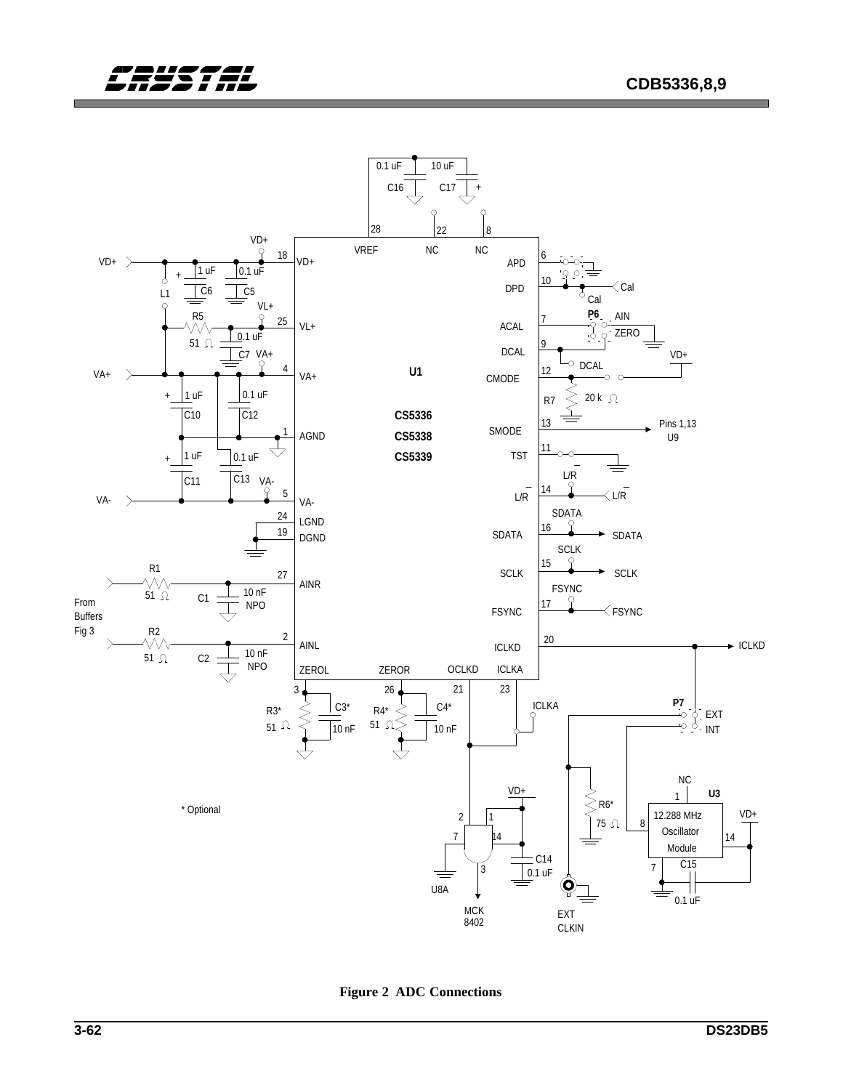



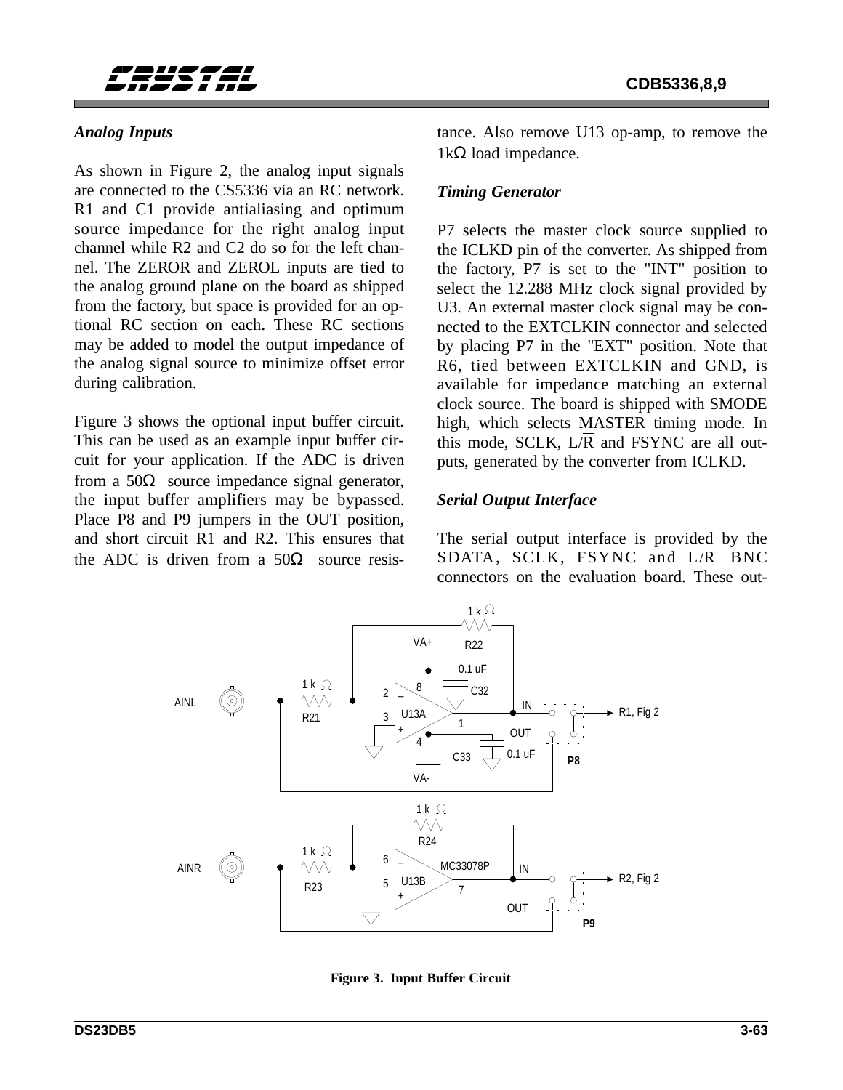### *Analog Inputs*

As shown in Figure 2, the analog input signals are connected to the CS5336 via an RC network. R1 and C1 provide antialiasing and optimum source impedance for the right analog input channel while R2 and C2 do so for the left channel. The ZEROR and ZEROL inputs are tied to the analog ground plane on the board as shipped from the factory, but space is provided for an optional RC section on each. These RC sections may be added to model the output impedance of the analog signal source to minimize offset error during calibration.

Figure 3 shows the optional input buffer circuit. This can be used as an example input buffer circuit for your application. If the ADC is driven from a 50Ω source impedance signal generator, the input buffer amplifiers may be bypassed. Place P8 and P9 jumpers in the OUT position, and short circuit R1 and R2. This ensures that the ADC is driven from a 50Ω source resistance. Also remove U13 op-amp, to remove the  $1kΩ$  load impedance.

### *Timing Generator*

P7 selects the master clock source supplied to the ICLKD pin of the converter. As shipped from the factory, P7 is set to the "INT" position to select the 12.288 MHz clock signal provided by U3. An external master clock signal may be connected to the EXTCLKIN connector and selected by placing P7 in the "EXT" position. Note that R6, tied between EXTCLKIN and GND, is available for impedance matching an external clock source. The board is shipped with SMODE high, which selects MASTER timing mode. In this mode, SCLK,  $L/\overline{R}$  and FSYNC are all outputs, generated by the converter from ICLKD.

### *Serial Output Interface*

The serial output interface is provided by the SDATA, SCLK, FSYNC and L/R BNC connectors on the evaluation board. These out-



**Figure 3. Input Buffer Circuit**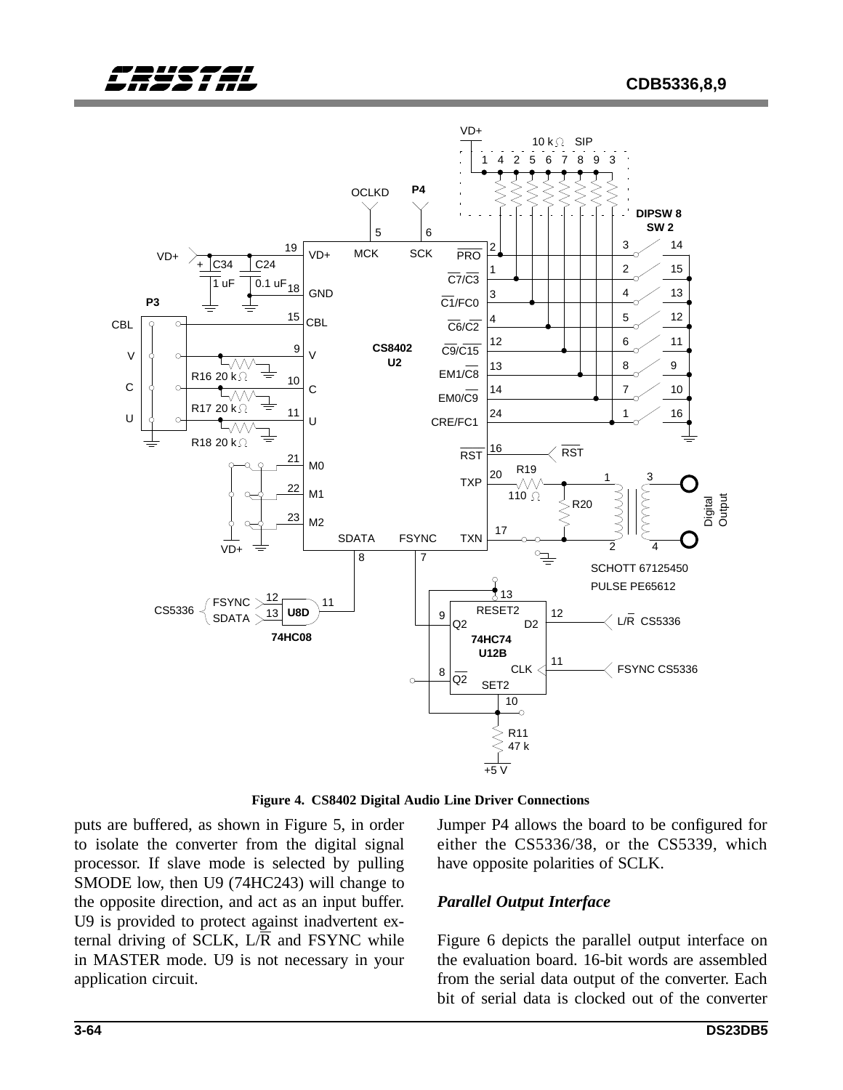

**Figure 4. CS8402 Digital Audio Line Driver Connections**

puts are buffered, as shown in Figure 5, in order to isolate the converter from the digital signal processor. If slave mode is selected by pulling SMODE low, then U9 (74HC243) will change to the opposite direction, and act as an input buffer. U9 is provided to protect against inadvertent external driving of SCLK,  $L/R$  and FSYNC while in MASTER mode. U9 is not necessary in your application circuit.

Jumper P4 allows the board to be configured for either the CS5336/38, or the CS5339, which have opposite polarities of SCLK.

### *Parallel Output Interface*

Figure 6 depicts the parallel output interface on the evaluation board. 16-bit words are assembled from the serial data output of the converter. Each bit of serial data is clocked out of the converter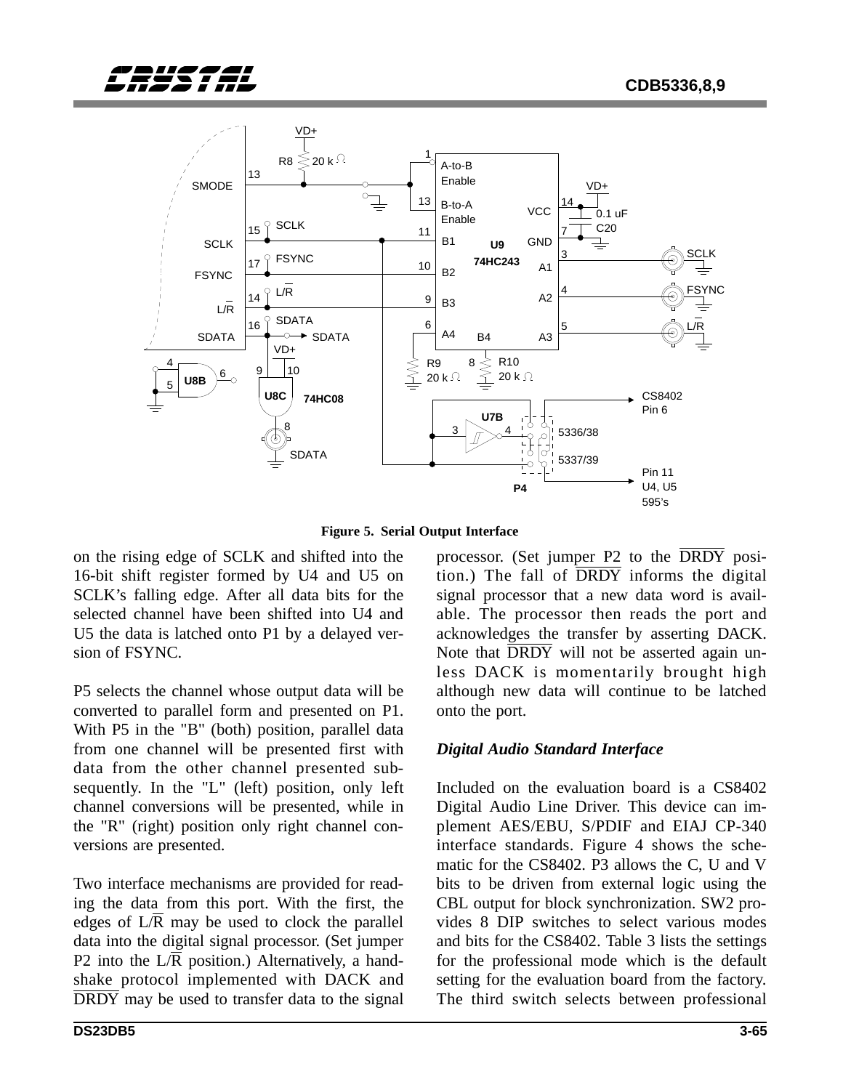



**Figure 5. Serial Output Interface**

on the rising edge of SCLK and shifted into the 16-bit shift register formed by U4 and U5 on SCLK's falling edge. After all data bits for the selected channel have been shifted into U4 and U5 the data is latched onto P1 by a delayed version of FSYNC.

P5 selects the channel whose output data will be converted to parallel form and presented on P1. With P5 in the "B" (both) position, parallel data from one channel will be presented first with data from the other channel presented subsequently. In the "L" (left) position, only left channel conversions will be presented, while in the "R" (right) position only right channel conversions are presented.

Two interface mechanisms are provided for reading the data from this port. With the first, the edges of L/R may be used to clock the parallel data into the digital signal processor. (Set jumper P2 into the L/R position.) Alternatively, a handshake protocol implemented with DACK and DRDY may be used to transfer data to the signal

able. The processor then reads the port and acknowledges the transfer by asserting DACK. Note that  $\overline{DRDY}$  will not be asserted again unless DACK is momentarily brought high although new data will continue to be latched onto the port. *Digital Audio Standard Interface* Included on the evaluation board is a CS8402

processor. (Set jumper P2 to the DRDY position.) The fall of  $\overline{DRDY}$  informs the digital signal processor that a new data word is avail-

Digital Audio Line Driver. This device can implement AES/EBU, S/PDIF and EIAJ CP-340 interface standards. Figure 4 shows the schematic for the CS8402. P3 allows the C, U and V bits to be driven from external logic using the CBL output for block synchronization. SW2 provides 8 DIP switches to select various modes and bits for the CS8402. Table 3 lists the settings for the professional mode which is the default setting for the evaluation board from the factory. The third switch selects between professional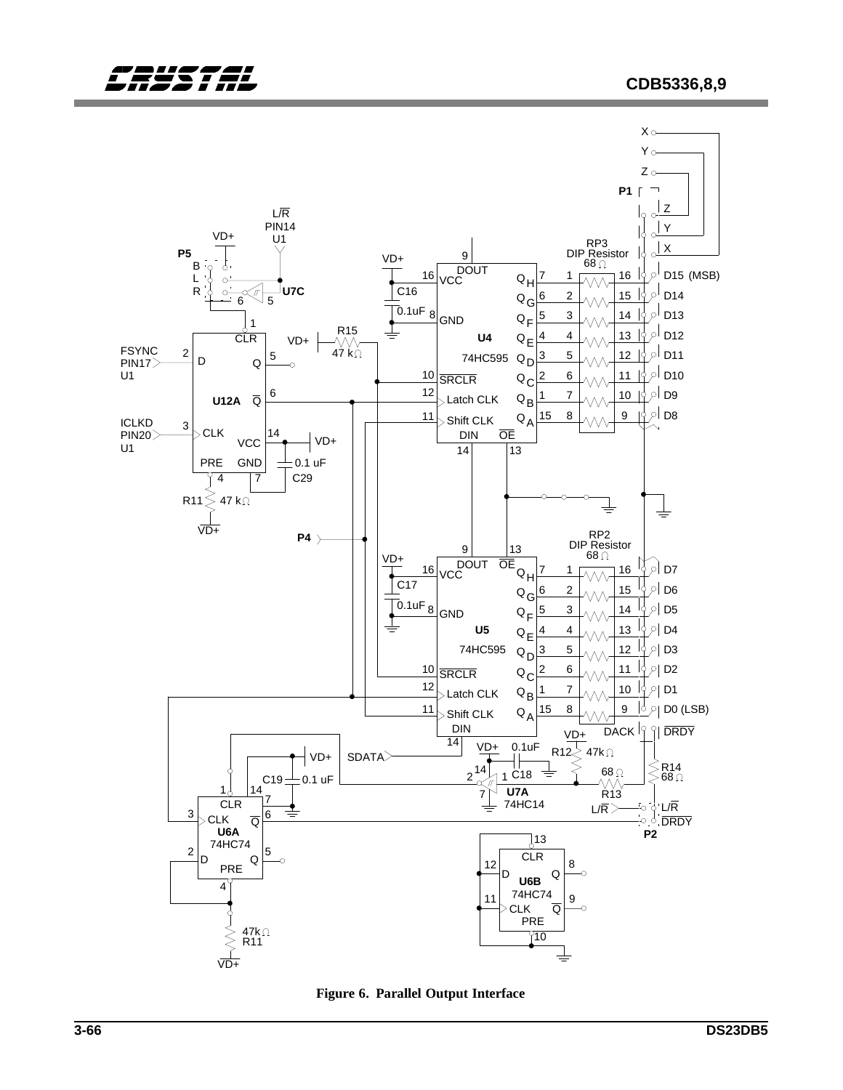

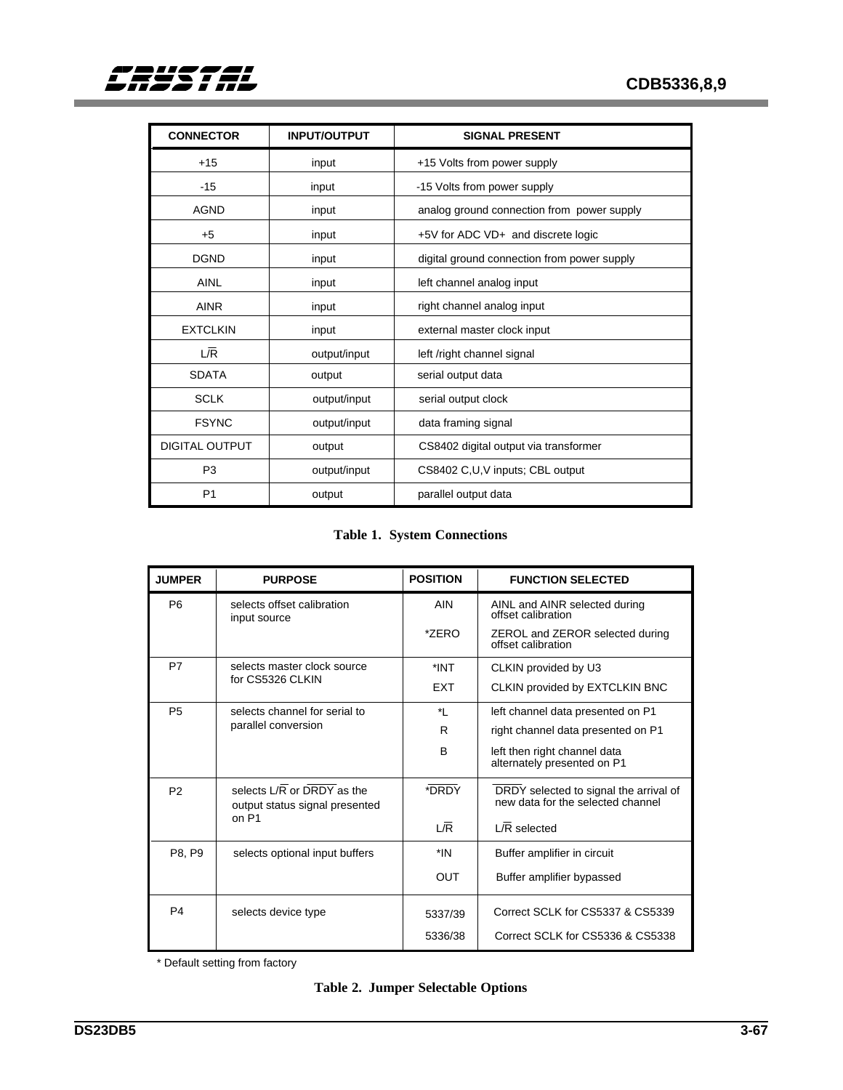| <b>CONNECTOR</b>      | <b>INPUT/OUTPUT</b> | <b>SIGNAL PRESENT</b>                       |
|-----------------------|---------------------|---------------------------------------------|
| $+15$                 | input               | +15 Volts from power supply                 |
| $-15$                 | input               | -15 Volts from power supply                 |
| <b>AGND</b>           | input               | analog ground connection from power supply  |
| $+5$                  | input               | +5V for ADC VD+ and discrete logic          |
| <b>DGND</b>           | input               | digital ground connection from power supply |
| <b>AINL</b>           | input               | left channel analog input                   |
| <b>AINR</b>           | input               | right channel analog input                  |
| <b>EXTCLKIN</b>       | input               | external master clock input                 |
| L/R                   | output/input        | left /right channel signal                  |
| <b>SDATA</b>          | output              | serial output data                          |
| <b>SCLK</b>           | output/input        | serial output clock                         |
| <b>FSYNC</b>          | output/input        | data framing signal                         |
| <b>DIGITAL OUTPUT</b> | output              | CS8402 digital output via transformer       |
| P <sub>3</sub>        | output/input        | CS8402 C,U,V inputs; CBL output             |
| P <sub>1</sub>        | output              | parallel output data                        |

### **Table 1. System Connections**

| <b>JUMPER</b>                              | <b>PURPOSE</b>                                               | <b>POSITION</b> | <b>FUNCTION SELECTED</b>                                                    |
|--------------------------------------------|--------------------------------------------------------------|-----------------|-----------------------------------------------------------------------------|
| P <sub>6</sub>                             | selects offset calibration<br>input source                   | <b>AIN</b>      | AINL and AINR selected during<br>offset calibration                         |
|                                            |                                                              | *ZERO           | ZEROL and ZEROR selected during<br>offset calibration                       |
| P7                                         | selects master clock source                                  | *INT            | CLKIN provided by U3                                                        |
|                                            | for CS5326 CLKIN                                             | <b>FXT</b>      | CLKIN provided by EXTCLKIN BNC                                              |
| <b>P5</b><br>selects channel for serial to |                                                              | *∣              | left channel data presented on P1                                           |
|                                            | parallel conversion                                          | R               | right channel data presented on P1                                          |
|                                            |                                                              | В               | left then right channel data<br>alternately presented on P1                 |
| P <sub>2</sub>                             | selects L/R or DRDY as the<br>output status signal presented | *DRDY           | DRDY selected to signal the arrival of<br>new data for the selected channel |
|                                            | on P1                                                        | 1/R             | L/R selected                                                                |
| P8, P9                                     | selects optional input buffers                               | *IN             | Buffer amplifier in circuit                                                 |
|                                            |                                                              | <b>OUT</b>      | Buffer amplifier bypassed                                                   |
| P <sub>4</sub>                             | selects device type                                          | 5337/39         | Correct SCLK for CS5337 & CS5339                                            |
|                                            |                                                              | 5336/38         | Correct SCLK for CS5336 & CS5338                                            |

\* Default setting from factory

|  |  | <b>Table 2. Jumper Selectable Options</b> |  |
|--|--|-------------------------------------------|--|
|--|--|-------------------------------------------|--|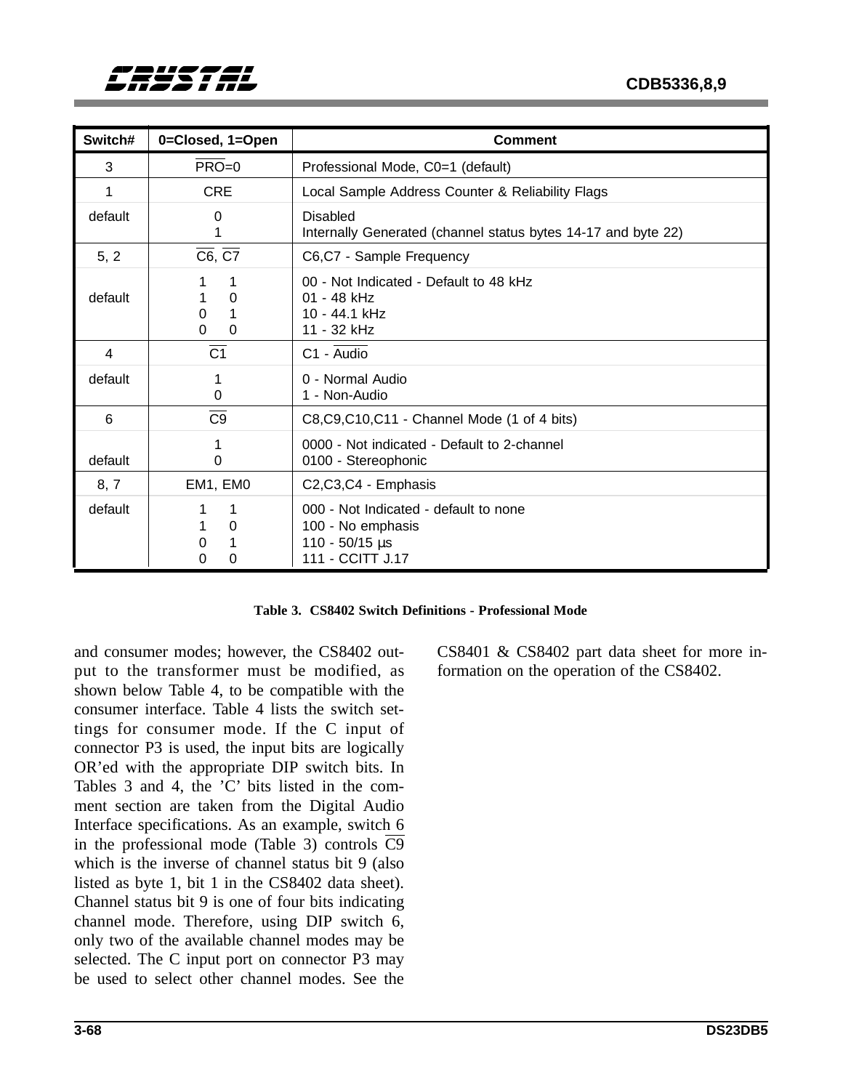| Switch# | 0=Closed, 1=Open                  | <b>Comment</b>                                                                                     |
|---------|-----------------------------------|----------------------------------------------------------------------------------------------------|
| 3       | $PRO = 0$                         | Professional Mode, C0=1 (default)                                                                  |
| 1       | <b>CRE</b>                        | Local Sample Address Counter & Reliability Flags                                                   |
| default | 0                                 | <b>Disabled</b><br>Internally Generated (channel status bytes 14-17 and byte 22)                   |
| 5, 2    | $\overline{C6}$ , $\overline{C7}$ | C6,C7 - Sample Frequency                                                                           |
| default | 0<br>0<br>0<br>$\Omega$           | 00 - Not Indicated - Default to 48 kHz<br>01 - 48 kHz<br>10 - 44.1 kHz<br>11 - 32 kHz              |
| 4       | $\overline{C1}$                   | C1 - Audio                                                                                         |
| default | 0                                 | 0 - Normal Audio<br>1 - Non-Audio                                                                  |
| 6       | C <sub>9</sub>                    | C8, C9, C10, C11 - Channel Mode (1 of 4 bits)                                                      |
| default | 0                                 | 0000 - Not indicated - Default to 2-channel<br>0100 - Stereophonic                                 |
| 8, 7    | EM1, EM0                          | C2,C3,C4 - Emphasis                                                                                |
| default | 0<br>0<br>0<br>0                  | 000 - Not Indicated - default to none<br>100 - No emphasis<br>$110 - 50/15$ µs<br>111 - CCITT J.17 |

**Table 3. CS8402 Switch Definitions - Professional Mode**

and consumer modes; however, the CS8402 output to the transformer must be modified, as shown below Table 4, to be compatible with the consumer interface. Table 4 lists the switch settings for consumer mode. If the C input of connector P3 is used, the input bits are logically OR'ed with the appropriate DIP switch bits. In Tables 3 and 4, the 'C' bits listed in the comment section are taken from the Digital Audio Interface specifications. As an example, switch 6 in the professional mode (Table 3) controls  $\overline{C9}$ which is the inverse of channel status bit 9 (also listed as byte 1, bit 1 in the CS8402 data sheet). Channel status bit 9 is one of four bits indicating channel mode. Therefore, using DIP switch 6, only two of the available channel modes may be selected. The C input port on connector P3 may be used to select other channel modes. See the

CS8401 & CS8402 part data sheet for more information on the operation of the CS8402.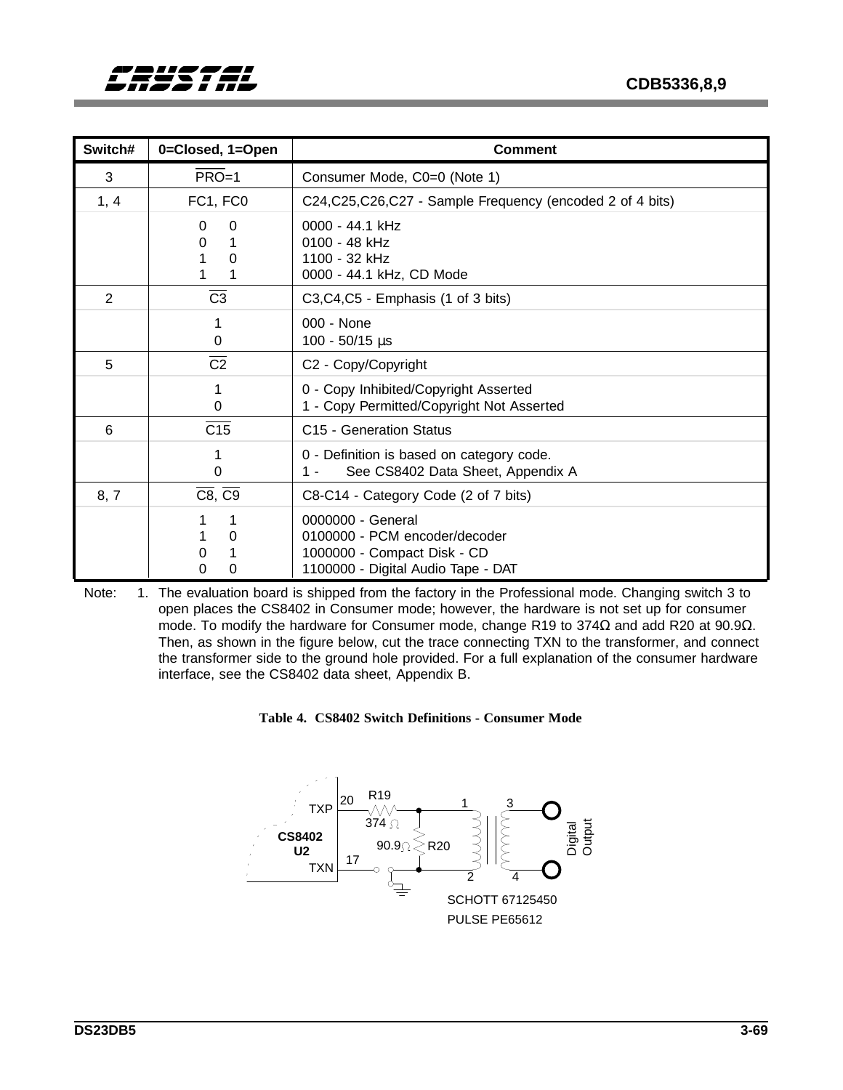| Switch# | 0=Closed, 1=Open                  | <b>Comment</b>                                                                                                          |
|---------|-----------------------------------|-------------------------------------------------------------------------------------------------------------------------|
| 3       | $PRO=1$                           | Consumer Mode, C0=0 (Note 1)                                                                                            |
| 1, 4    | FC1, FC0                          | C24, C25, C26, C27 - Sample Frequency (encoded 2 of 4 bits)                                                             |
|         | 0<br>0<br>0<br>1<br>0             | 0000 - 44.1 kHz<br>0100 - 48 kHz<br>1100 - 32 kHz<br>0000 - 44.1 kHz, CD Mode                                           |
| 2       | C <sub>3</sub>                    | C3,C4,C5 - Emphasis (1 of 3 bits)                                                                                       |
|         | 0                                 | 000 - None<br>$100 - 50/15$ µs                                                                                          |
| 5       | $\overline{C2}$                   | C2 - Copy/Copyright                                                                                                     |
|         | 0                                 | 0 - Copy Inhibited/Copyright Asserted<br>1 - Copy Permitted/Copyright Not Asserted                                      |
| 6       | C15                               | C <sub>15</sub> - Generation Status                                                                                     |
|         | 0                                 | 0 - Definition is based on category code.<br>See CS8402 Data Sheet, Appendix A<br>1 -                                   |
| 8, 7    | $\overline{C8}$ , $\overline{C9}$ | C8-C14 - Category Code (2 of 7 bits)                                                                                    |
|         | 1<br>0<br>0<br>0<br>0             | 0000000 - General<br>0100000 - PCM encoder/decoder<br>1000000 - Compact Disk - CD<br>1100000 - Digital Audio Tape - DAT |

Note: 1. The evaluation board is shipped from the factory in the Professional mode. Changing switch 3 to open places the CS8402 in Consumer mode; however, the hardware is not set up for consumer mode. To modify the hardware for Consumer mode, change R19 to 374Ω and add R20 at 90.9Ω. Then, as shown in the figure below, cut the trace connecting TXN to the transformer, and connect the transformer side to the ground hole provided. For a full explanation of the consumer hardware interface, see the CS8402 data sheet, Appendix B.



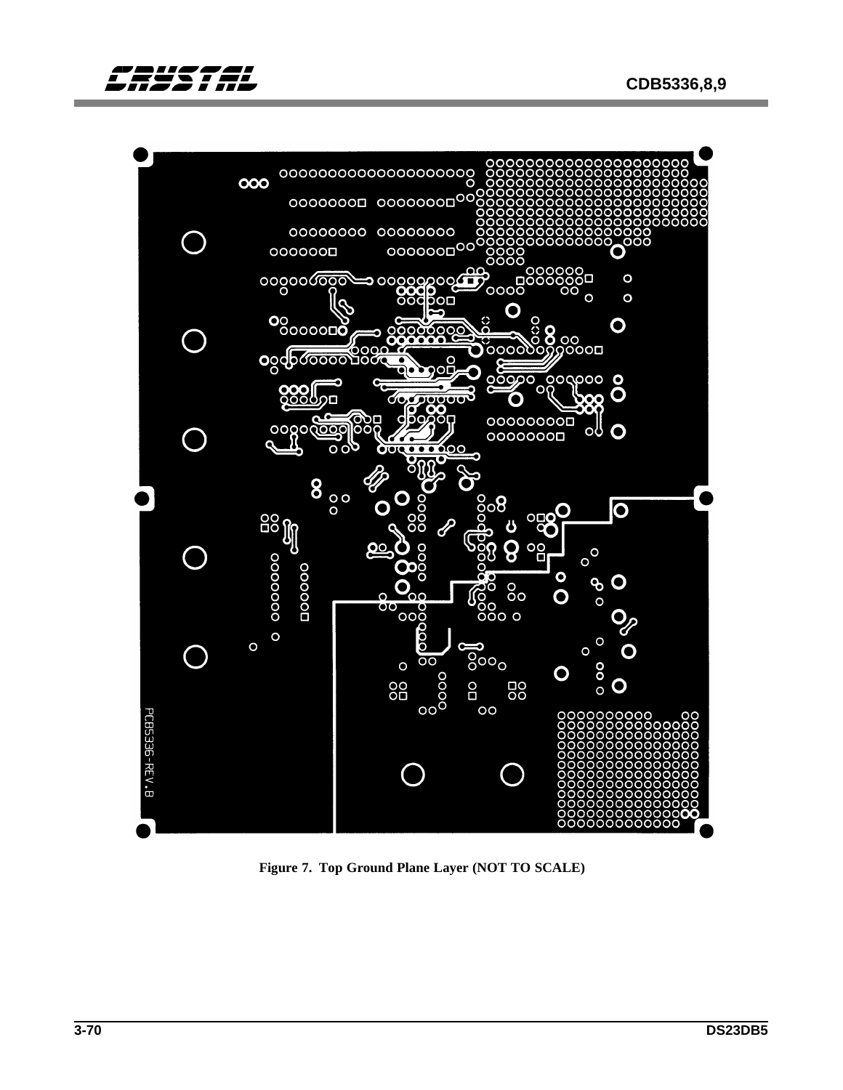



**Figure 7. Top Ground Plane Layer (NOT TO SCALE)**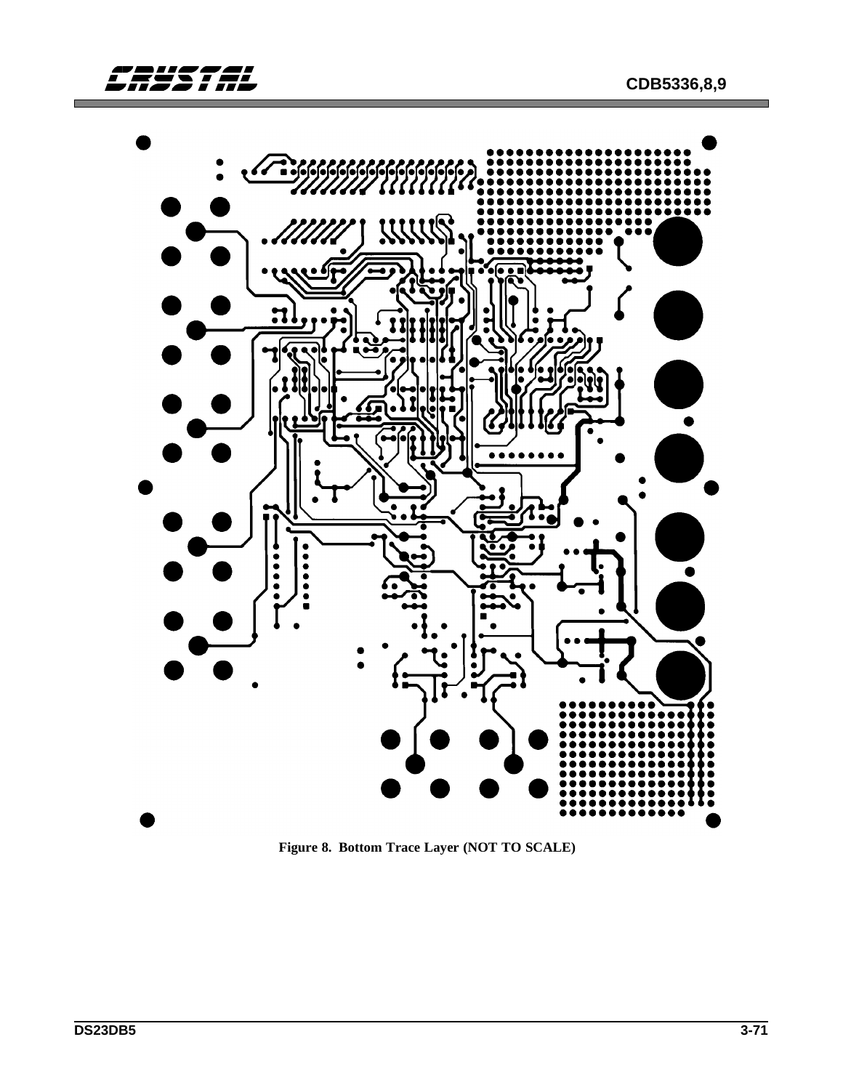

**Figure 8. Bottom Trace Layer (NOT TO SCALE)**